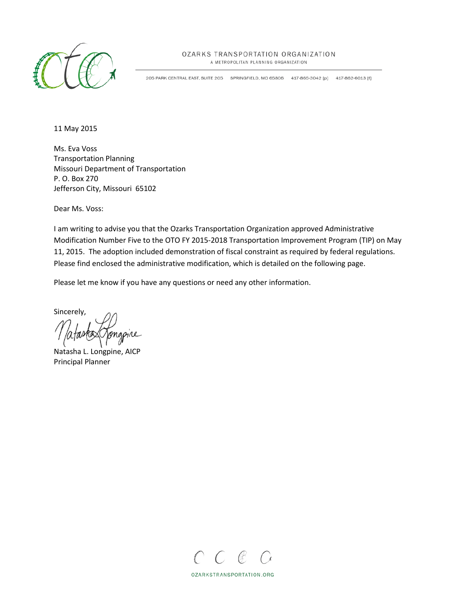

#### OZARKS TRANSPORTATION ORGANIZATION

A METROPOLITAN PLANNING ORGANIZATION

205 PARK CENTRAL EAST, SUITE 205 SPRINGFIELD, MO 65806 417-865-3042 [p] 417-862-6013 [f]

11 May 2015

Ms. Eva Voss Transportation Planning Missouri Department of Transportation P. O. Box 270 Jefferson City, Missouri 65102

Dear Ms. Voss:

I am writing to advise you that the Ozarks Transportation Organization approved Administrative Modification Number Five to the OTO FY 2015-2018 Transportation Improvement Program (TIP) on May 11, 2015. The adoption included demonstration of fiscal constraint as required by federal regulations. Please find enclosed the administrative modification, which is detailed on the following page.

Please let me know if you have any questions or need any other information.

Sincerely,

Natasha L. Longpine, AICP Principal Planner



OZARKSTRANSPORTATION.ORG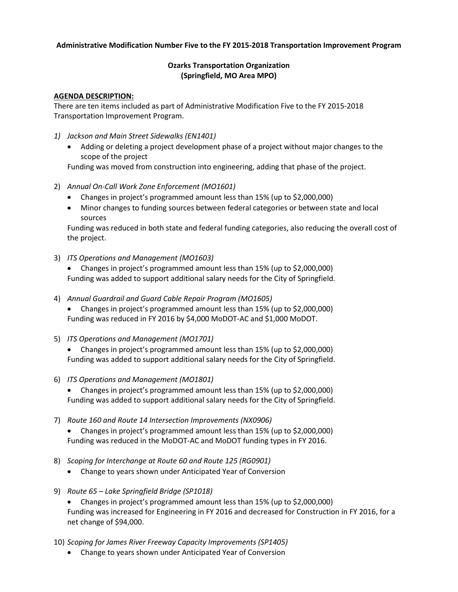#### **Administrative Modification Number Five to the FY 2015-2018 Transportation Improvement Program**

#### **Ozarks Transportation Organization (Springfield, MO Area MPO)**

#### **AGENDA DESCRIPTION:**

There are ten items included as part of Administrative Modification Five to the FY 2015-2018 Transportation Improvement Program.

- *1) Jackson and Main Street Sidewalks (EN1401)*
	- Adding or deleting a project development phase of a project without major changes to the scope of the project

Funding was moved from construction into engineering, adding that phase of the project.

- 2) *Annual On-Call Work Zone Enforcement (MO1601)*
	- Changes in project's programmed amount less than 15% (up to \$2,000,000)
	- Minor changes to funding sources between federal categories or between state and local sources

Funding was reduced in both state and federal funding categories, also reducing the overall cost of the project.

3) *ITS Operations and Management (MO1603)*

• Changes in project's programmed amount less than 15% (up to \$2,000,000) Funding was added to support additional salary needs for the City of Springfield.

- 4) *Annual Guardrail and Guard Cable Repair Program (MO1605)*
	- Changes in project's programmed amount less than 15% (up to \$2,000,000) Funding was reduced in FY 2016 by \$4,000 MoDOT-AC and \$1,000 MoDOT.
- 5) *ITS Operations and Management (MO1701)*

• Changes in project's programmed amount less than 15% (up to \$2,000,000) Funding was added to support additional salary needs for the City of Springfield.

6) *ITS Operations and Management (MO1801)*

• Changes in project's programmed amount less than 15% (up to \$2,000,000) Funding was added to support additional salary needs for the City of Springfield.

- 7) *Route 160 and Route 14 Intersection Improvements (NX0906)* • Changes in project's programmed amount less than 15% (up to \$2,000,000) Funding was reduced in the MoDOT-AC and MoDOT funding types in FY 2016.
- 8) *Scoping for Interchange at Route 60 and Route 125 (RG0901)*
	- Change to years shown under Anticipated Year of Conversion
- 9) *Route 65 – Lake Springfield Bridge (SP1018)*
	- Changes in project's programmed amount less than 15% (up to \$2,000,000) Funding was increased for Engineering in FY 2016 and decreased for Construction in FY 2016, for a net change of \$94,000.
- 10) *Scoping for James River Freeway Capacity Improvements (SP1405)*
	- Change to years shown under Anticipated Year of Conversion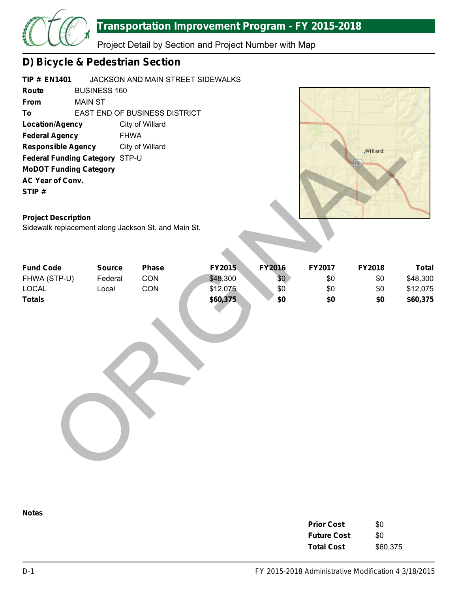

Project Detail by Section and Project Number with Map

## **D) Bicycle & Pedestrian Section**

| <b>TIP # EN1401</b>             |                     | JACKSON AND MAIN STREET SIDEWALKS    |
|---------------------------------|---------------------|--------------------------------------|
| Route                           | <b>BUSINESS 160</b> |                                      |
| From                            | MAIN ST             |                                      |
| To                              |                     | <b>EAST END OF BUSINESS DISTRICT</b> |
| <b>Location/Agency</b>          |                     | City of Willard                      |
| <b>Federal Agency</b>           |                     | <b>FHWA</b>                          |
| <b>Responsible Agency</b>       |                     | City of Willard                      |
| <b>Federal Funding Category</b> |                     | STP-U                                |
| <b>MoDOT Funding Category</b>   |                     |                                      |
| <b>AC Year of Conv.</b>         |                     |                                      |
| STIP#                           |                     |                                      |
|                                 |                     |                                      |



### **Project Description**

| <b>Location/Agency</b><br><b>Federal Agency</b><br><b>Responsible Agency</b><br>Federal Funding Category STP-U<br><b>MoDOT Funding Category</b><br>AC Year of Conv.<br>STIP#<br><b>Project Description</b><br>Sidewalk replacement along Jackson St. and Main St. | <b>FHWA</b>                       | City of Willard<br>City of Willard |                                |                             |                      | .Willard<br>166      |                                      |
|-------------------------------------------------------------------------------------------------------------------------------------------------------------------------------------------------------------------------------------------------------------------|-----------------------------------|------------------------------------|--------------------------------|-----------------------------|----------------------|----------------------|--------------------------------------|
| <b>Fund Code</b><br>FHWA (STP-U)<br>LOCAL                                                                                                                                                                                                                         | <b>Source</b><br>Federal<br>Local | <b>Phase</b><br>CON<br>CON         | FY2015<br>\$48,300<br>\$12,075 | <b>FY2016</b><br>\$0<br>\$0 | FY2017<br>\$0<br>\$0 | FY2018<br>\$0<br>\$0 | <b>Total</b><br>\$48,300<br>\$12,075 |
| <b>Totals</b>                                                                                                                                                                                                                                                     |                                   |                                    | \$60,375                       | \$0                         | \$0                  | \$0                  | \$60,375                             |

| <b>Prior Cost</b>  | \$0      |
|--------------------|----------|
| <b>Future Cost</b> | \$0      |
| <b>Total Cost</b>  | \$60,375 |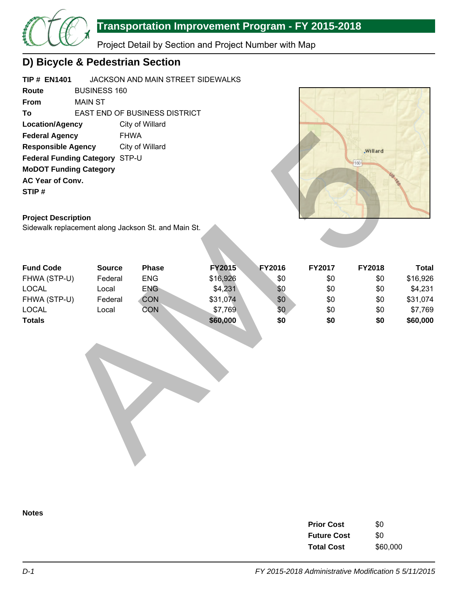

Project Detail by Section and Project Number with Map

## **D) Bicycle & Pedestrian Section**

| <b>TIP # EN1401</b>            |                     | JACKSON AND MAIN STREET SIDEWALKS    |
|--------------------------------|---------------------|--------------------------------------|
| Route                          | <b>BUSINESS 160</b> |                                      |
| From                           | MAIN ST             |                                      |
| To                             |                     | <b>EAST END OF BUSINESS DISTRICT</b> |
| <b>Location/Agency</b>         |                     | City of Willard                      |
| <b>Federal Agency</b>          |                     | <b>FHWA</b>                          |
| <b>Responsible Agency</b>      |                     | City of Willard                      |
| Federal Funding Category STP-U |                     |                                      |
| <b>MoDOT Funding Category</b>  |                     |                                      |
| <b>AC Year of Conv.</b>        |                     |                                      |
| STIP#                          |                     |                                      |
|                                |                     |                                      |



### **Project Description**

| <b>Federal Agency</b>                               |                               | <b>FHWA</b>     |               |        |        |          |              |
|-----------------------------------------------------|-------------------------------|-----------------|---------------|--------|--------|----------|--------------|
| <b>Responsible Agency</b>                           |                               | City of Willard |               |        |        | .Willard |              |
| Federal Funding Category STP-U                      |                               |                 |               |        |        |          |              |
|                                                     | <b>MoDOT Funding Category</b> |                 |               |        |        | 160      |              |
| AC Year of Conv.                                    |                               |                 |               |        |        |          |              |
| STIP#                                               |                               |                 |               |        |        |          |              |
|                                                     |                               |                 |               |        |        |          |              |
|                                                     |                               |                 |               |        |        |          |              |
| <b>Project Description</b>                          |                               |                 |               |        |        |          |              |
| Sidewalk replacement along Jackson St. and Main St. |                               |                 |               |        |        |          |              |
|                                                     |                               |                 |               |        |        |          |              |
|                                                     |                               |                 |               |        |        |          |              |
| <b>Fund Code</b>                                    | <b>Source</b>                 | Phase           | <b>FY2015</b> | FY2016 | FY2017 | FY2018   | <b>Total</b> |
| FHWA (STP-U)                                        | Federal                       | <b>ENG</b>      | \$16,926      | \$0    | \$0    | \$0      | \$16,926     |
| <b>LOCAL</b>                                        | Local                         | <b>ENG</b>      | \$4,231       | \$0    | \$0    | \$0      | \$4,231      |
| FHWA (STP-U)                                        | Federal                       | <b>CON</b>      | \$31,074      | \$0    | \$0    | \$0      | \$31,074     |
| LOCAL                                               | Local                         | <b>CON</b>      | \$7,769       | \$0    | \$0    | \$0      | \$7,769      |
| <b>Totals</b>                                       |                               |                 | \$60,000      | \$0    | \$0    | \$0      | \$60,000     |
|                                                     |                               |                 |               |        |        |          |              |
|                                                     |                               |                 |               |        |        |          |              |
|                                                     |                               |                 |               |        |        |          |              |
|                                                     |                               |                 |               |        |        |          |              |
|                                                     |                               |                 |               |        |        |          |              |
|                                                     |                               |                 |               |        |        |          |              |
|                                                     |                               |                 |               |        |        |          |              |
|                                                     |                               |                 |               |        |        |          |              |
|                                                     |                               |                 |               |        |        |          |              |
|                                                     |                               |                 |               |        |        |          |              |
|                                                     |                               |                 |               |        |        |          |              |
|                                                     |                               |                 |               |        |        |          |              |
|                                                     |                               |                 |               |        |        |          |              |
|                                                     |                               |                 |               |        |        |          |              |



| <b>Prior Cost</b>  | \$0      |
|--------------------|----------|
| <b>Future Cost</b> | \$O      |
| <b>Total Cost</b>  | \$60,000 |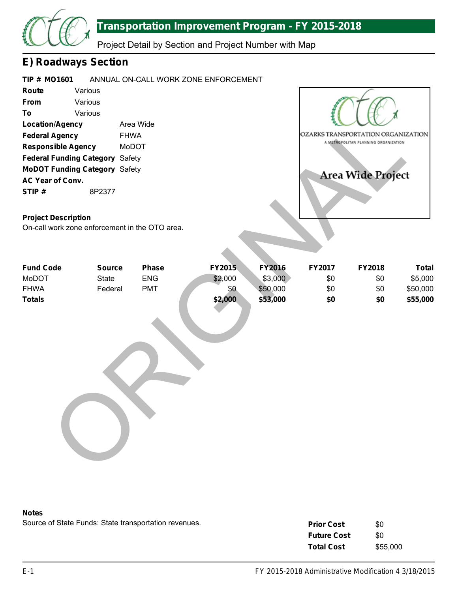

Project Detail by Section and Project Number with Map

## **E) Roadways Section**

| <b>TIP # MO1601</b>       |                                        | ANNUAL ON-CALL WORK ZONE ENFORCEMENT |                                      |
|---------------------------|----------------------------------------|--------------------------------------|--------------------------------------|
| Route                     | Various                                |                                      |                                      |
| <b>From</b>               | Various                                |                                      |                                      |
| To                        | Various                                |                                      |                                      |
| <b>Location/Agency</b>    |                                        | Area Wide                            |                                      |
| <b>Federal Agency</b>     |                                        | <b>FHWA</b>                          | OZARKS TRANSPORTATION ORGANIZATION   |
| <b>Responsible Agency</b> |                                        | <b>MoDOT</b>                         | A METROPOLITAN PLANNING ORGANIZATION |
|                           | <b>Federal Funding Category Safety</b> |                                      |                                      |
|                           | <b>MoDOT Funding Category Safety</b>   |                                      | <b>Area Wide Project</b>             |
| <b>AC Year of Conv.</b>   |                                        |                                      |                                      |
| STIP#                     | 8P2377                                 |                                      |                                      |
|                           |                                        |                                      |                                      |

### **Project Description**

| <b>Location/Agency</b>                         |               | Area Wide  |         |               |        |                                      |              |
|------------------------------------------------|---------------|------------|---------|---------------|--------|--------------------------------------|--------------|
| <b>Federal Agency</b>                          | <b>FHWA</b>   |            |         |               |        | OZARKS TRANSPORTATION ORGANIZATION   |              |
| <b>Responsible Agency</b>                      | MoDOT         |            |         |               |        | A METROPOLITAN PLANNING ORGANIZATION |              |
| Federal Funding Category Safety                |               |            |         |               |        |                                      |              |
| <b>MoDOT Funding Category Safety</b>           |               |            |         |               |        |                                      |              |
| AC Year of Conv.                               |               |            |         |               |        | <b>Area Wide Project</b>             |              |
| STIP#                                          | 8P2377        |            |         |               |        |                                      |              |
| <b>Project Description</b>                     |               |            |         |               |        |                                      |              |
| On-call work zone enforcement in the OTO area. |               |            |         |               |        |                                      |              |
|                                                |               |            |         |               |        |                                      |              |
| <b>Fund Code</b>                               | <b>Source</b> | Phase      | FY2015  | <b>FY2016</b> | FY2017 | FY2018                               | <b>Total</b> |
| MoDOT                                          | State         | <b>ENG</b> | \$2,000 | \$3,000       | \$0    | \$0                                  | \$5,000      |
| <b>FHWA</b>                                    | Federal       | <b>PMT</b> | \$0     | \$50,000      | \$0    | \$0                                  | \$50,000     |
| <b>Totals</b>                                  |               |            | \$2,000 | \$53,000      | \$0    | \$0                                  | \$55,000     |
|                                                |               |            |         |               |        |                                      |              |

#### **Notes**

| <b>Prior Cost</b>  | \$0      |
|--------------------|----------|
| <b>Future Cost</b> | \$0      |
| <b>Total Cost</b>  | \$55,000 |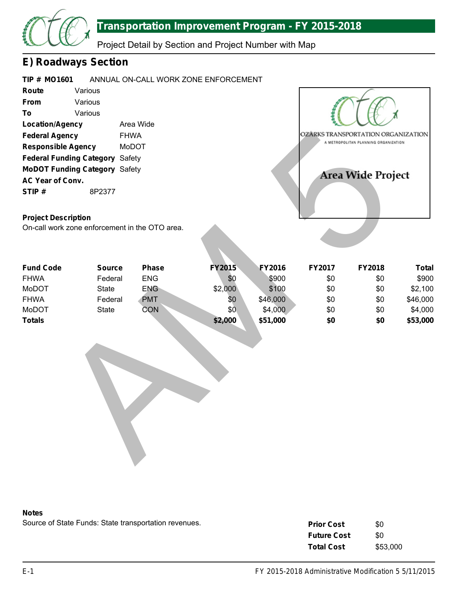

Project Detail by Section and Project Number with Map

### **E) Roadways Section**

| <b>TIP # MO1601</b>                            |                          |                            | ANNUAL ON-CALL WORK ZONE ENFORCEMENT |                 |            |                                      |                       |
|------------------------------------------------|--------------------------|----------------------------|--------------------------------------|-----------------|------------|--------------------------------------|-----------------------|
| Route                                          | Various                  |                            |                                      |                 |            |                                      |                       |
| From                                           | Various                  |                            |                                      |                 |            |                                      |                       |
| To                                             | Various                  |                            |                                      |                 |            |                                      |                       |
| <b>Location/Agency</b>                         |                          | Area Wide                  |                                      |                 |            |                                      |                       |
| <b>Federal Agency</b>                          |                          | <b>FHWA</b>                |                                      |                 |            | OZÂRKS TRANSPORTATION ORGANIZATION   |                       |
| <b>Responsible Agency</b>                      |                          | <b>MoDOT</b>               |                                      |                 |            | A METROPOLITAN PLANNING ORGANIZATION |                       |
| <b>Federal Funding Category Safety</b>         |                          |                            |                                      |                 |            |                                      |                       |
| <b>MoDOT Funding Category Safety</b>           |                          |                            |                                      |                 |            |                                      |                       |
| AC Year of Conv.                               |                          |                            |                                      |                 |            | <b>Area Wide Project</b>             |                       |
| STIP#                                          | 8P2377                   |                            |                                      |                 |            |                                      |                       |
| <b>Project Description</b>                     |                          |                            |                                      |                 |            |                                      |                       |
| On-call work zone enforcement in the OTO area. |                          |                            |                                      |                 |            |                                      |                       |
|                                                |                          |                            |                                      |                 |            |                                      |                       |
| <b>Fund Code</b><br><b>FHWA</b>                | <b>Source</b><br>Federal | <b>Phase</b><br><b>ENG</b> | <b>FY2015</b><br>\$0                 | FY2016<br>\$900 | FY2017     | FY2018                               | <b>Total</b><br>\$900 |
| MoDOT                                          | <b>State</b>             | <b>ENG</b>                 | \$2,000                              | \$100           | \$0<br>\$0 | \$0<br>\$0                           | \$2,100               |
| <b>FHWA</b>                                    | Federal                  | <b>PMT</b>                 | \$0                                  | \$46,000        | \$0        | \$0                                  | \$46,000              |
| <b>MoDOT</b>                                   | <b>State</b>             | CON                        | \$0                                  | \$4,000         | \$0        | \$0                                  | \$4,000               |
| <b>Totals</b>                                  |                          |                            | \$2,000                              | \$51,000        | \$0        | \$0                                  | \$53,000              |
|                                                |                          |                            |                                      |                 |            |                                      |                       |

### **Project Description**

| <b>Fund Code</b> | <b>Source</b> | <b>Phase</b> | <b>FY2015</b> | <b>FY2016</b> | <b>FY2017</b> | <b>FY2018</b> | Total    |
|------------------|---------------|--------------|---------------|---------------|---------------|---------------|----------|
| <b>FHWA</b>      | Federal       | <b>ENG</b>   | \$0           | \$900         | \$0           | \$0           | \$900    |
| <b>MoDOT</b>     | <b>State</b>  | <b>ENG</b>   | \$2,000       | \$100         | \$0           | \$0           | \$2,100  |
| <b>FHWA</b>      | Federal       | <b>PMT</b>   | \$0           | \$46,000      | \$0           | \$0           | \$46,000 |
| <b>MoDOT</b>     | <b>State</b>  | CON          | \$0           | \$4,000       | \$0           | \$0           | \$4,000  |
| <b>Totals</b>    |               |              | \$2,000       | \$51,000      | \$0           | \$0           | \$53,000 |



| <b>Prior Cost</b>  | \$0      |
|--------------------|----------|
| <b>Future Cost</b> | \$0      |
| <b>Total Cost</b>  | \$53,000 |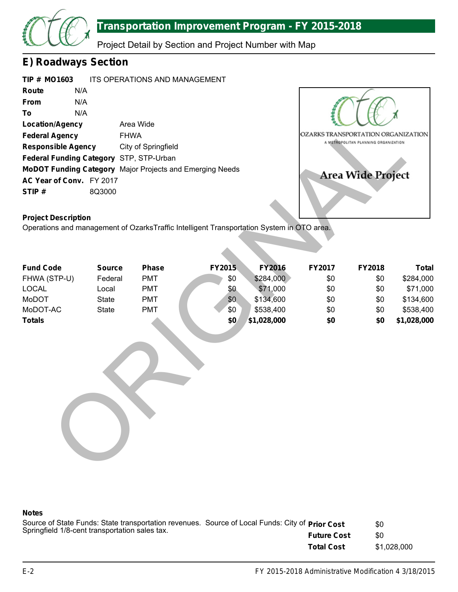

Project Detail by Section and Project Number with Map

### **E) Roadways Section**

|             | TIP # MO1603                            | ITS OPERATIONS AND MANAGEMENT                                   |
|-------------|-----------------------------------------|-----------------------------------------------------------------|
| Route       | N/A                                     |                                                                 |
| <b>From</b> | N/A                                     |                                                                 |
| To          | N/A                                     |                                                                 |
|             | <b>Location/Agency</b>                  | Area Wide                                                       |
|             | <b>Federal Agency</b>                   | <b>FHWA</b>                                                     |
|             | <b>Responsible Agency</b>               | City of Springfield                                             |
|             | Federal Funding Category STP, STP-Urban |                                                                 |
|             |                                         | <b>MoDOT Funding Category</b> Major Projects and Emerging Needs |
|             | AC Year of Conv. FY 2017                |                                                                 |
| STIP#       | 8Q3000                                  |                                                                 |



### **Project Description**

| <b>Location/Agency</b><br><b>Federal Agency</b><br><b>Responsible Agency</b><br>Federal Funding Category STP, STP-Urban<br>MoDOT Funding Category Major Projects and Emerging Needs<br>AC Year of Conv. FY 2017<br>STIP#<br><b>Project Description</b><br>Operations and management of OzarksTraffic Intelligent Transportation System in OTO area. | <b>FHWA</b><br>8Q3000 | Area Wide<br>City of Springfield |            |                       | OZARKS TRANSPORTATION ORGANIZATION | A METROPOLITAN PLANNING ORGANIZATION<br><b>Area Wide Project</b> |                       |
|-----------------------------------------------------------------------------------------------------------------------------------------------------------------------------------------------------------------------------------------------------------------------------------------------------------------------------------------------------|-----------------------|----------------------------------|------------|-----------------------|------------------------------------|------------------------------------------------------------------|-----------------------|
|                                                                                                                                                                                                                                                                                                                                                     |                       |                                  |            |                       |                                    |                                                                  |                       |
| <b>Fund Code</b>                                                                                                                                                                                                                                                                                                                                    | <b>Source</b>         | <b>Phase</b>                     | FY2015     | <b>FY2016</b>         | FY2017                             | FY2018                                                           | <b>Total</b>          |
| FHWA (STP-U)<br><b>LOCAL</b>                                                                                                                                                                                                                                                                                                                        | Federal<br>Local      | <b>PMT</b><br><b>PMT</b>         | \$0<br>\$0 | \$284,000<br>\$71,000 | \$0<br>\$0                         | \$0<br>\$0                                                       | \$284,000<br>\$71,000 |
| MoDOT                                                                                                                                                                                                                                                                                                                                               | <b>State</b>          | <b>PMT</b>                       | \$0        | \$134,600             | \$0                                | \$0                                                              | \$134,600             |
| MoDOT-AC                                                                                                                                                                                                                                                                                                                                            | <b>State</b>          | <b>PMT</b>                       | \$0        | \$538,400             | \$0                                | \$0                                                              | \$538,400             |
| <b>Totals</b>                                                                                                                                                                                                                                                                                                                                       |                       |                                  | \$0        | \$1,028,000           | \$0                                | \$0                                                              | \$1,028,000           |
|                                                                                                                                                                                                                                                                                                                                                     |                       |                                  |            |                       |                                    |                                                                  |                       |

| Source of State Funds: State transportation revenues. Source of Local Funds: City of <b>Prior Cost</b> |                    | \$0         |
|--------------------------------------------------------------------------------------------------------|--------------------|-------------|
| Springfield 1/8-cent transportation sales tax.                                                         | <b>Future Cost</b> | \$0         |
|                                                                                                        | <b>Total Cost</b>  | \$1.028.000 |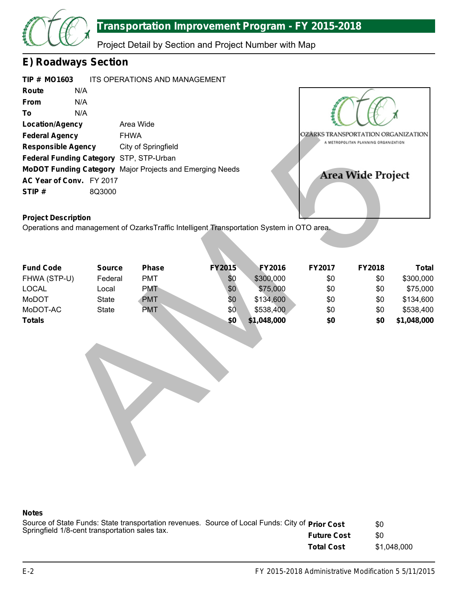

Project Detail by Section and Project Number with Map

### **E) Roadways Section**

| <b>TIP # MO1603</b>       |        | ITS OPERATIONS AND MANAGEMENT                                   |  |
|---------------------------|--------|-----------------------------------------------------------------|--|
| Route                     | N/A    |                                                                 |  |
| <b>From</b>               | N/A    |                                                                 |  |
| To                        | N/A    |                                                                 |  |
| <b>Location/Agency</b>    |        | Area Wide                                                       |  |
| <b>Federal Agency</b>     |        | <b>FHWA</b>                                                     |  |
| <b>Responsible Agency</b> |        | City of Springfield                                             |  |
|                           |        | Federal Funding Category STP, STP-Urban                         |  |
|                           |        | <b>MoDOT Funding Category</b> Major Projects and Emerging Needs |  |
| AC Year of Conv. FY 2017  |        |                                                                 |  |
| STIP#                     | 8Q3000 |                                                                 |  |



### **Project Description**

| <b>Federal Agency</b>                                                                     | <b>FHWA</b>   |                     |               |             | OZÂRKS TRANSPORTATION ORGANIZATION |                                      |              |
|-------------------------------------------------------------------------------------------|---------------|---------------------|---------------|-------------|------------------------------------|--------------------------------------|--------------|
| <b>Responsible Agency</b>                                                                 |               | City of Springfield |               |             |                                    | A METROPOLITAN PLANNING ORGANIZATION |              |
| Federal Funding Category STP, STP-Urban                                                   |               |                     |               |             |                                    |                                      |              |
| MoDOT Funding Category Major Projects and Emerging Needs                                  |               |                     |               |             |                                    |                                      |              |
| AC Year of Conv. FY 2017                                                                  |               |                     |               |             |                                    | Area Wide Project                    |              |
| STIP#                                                                                     | 8Q3000        |                     |               |             |                                    |                                      |              |
|                                                                                           |               |                     |               |             |                                    |                                      |              |
|                                                                                           |               |                     |               |             |                                    |                                      |              |
| <b>Project Description</b>                                                                |               |                     |               |             |                                    |                                      |              |
| Operations and management of OzarksTraffic Intelligent Transportation System in OTO area. |               |                     |               |             |                                    |                                      |              |
|                                                                                           |               |                     |               |             |                                    |                                      |              |
|                                                                                           |               |                     |               |             |                                    |                                      |              |
| <b>Fund Code</b>                                                                          | <b>Source</b> | <b>Phase</b>        | <b>FY2015</b> | FY2016      | <b>FY2017</b>                      | FY2018                               | <b>Total</b> |
| FHWA (STP-U)                                                                              | Federal       | <b>PMT</b>          | \$0           | \$300,000   | \$0                                | \$0                                  | \$300,000    |
| <b>LOCAL</b>                                                                              | Local         | <b>PMT</b>          | \$0           | \$75,000    | \$0                                | \$0                                  | \$75,000     |
| MoDOT                                                                                     | <b>State</b>  | <b>PMT</b>          | \$0           | \$134,600   | \$0                                | \$0                                  | \$134,600    |
| MoDOT-AC                                                                                  | <b>State</b>  | <b>PMT</b>          | \$0           | \$538,400   | \$0                                | \$0                                  | \$538,400    |
| <b>Totals</b>                                                                             |               |                     | \$0           | \$1,048,000 | \$0                                | \$0                                  | \$1,048,000  |
|                                                                                           |               |                     |               |             |                                    |                                      |              |
|                                                                                           |               |                     |               |             |                                    |                                      |              |
|                                                                                           |               |                     |               |             |                                    |                                      |              |
|                                                                                           |               |                     |               |             |                                    |                                      |              |
|                                                                                           |               |                     |               |             |                                    |                                      |              |
|                                                                                           |               |                     |               |             |                                    |                                      |              |
|                                                                                           |               |                     |               |             |                                    |                                      |              |
|                                                                                           |               |                     |               |             |                                    |                                      |              |
|                                                                                           |               |                     |               |             |                                    |                                      |              |
|                                                                                           |               |                     |               |             |                                    |                                      |              |
|                                                                                           |               |                     |               |             |                                    |                                      |              |
|                                                                                           |               |                     |               |             |                                    |                                      |              |
|                                                                                           |               |                     |               |             |                                    |                                      |              |
|                                                                                           |               |                     |               |             |                                    |                                      |              |

| Source of State Funds: State transportation revenues. Source of Local Funds: City of Prior Cost |                    | \$0         |
|-------------------------------------------------------------------------------------------------|--------------------|-------------|
| Springfield 1/8-cent transportation sales tax.                                                  | <b>Future Cost</b> | \$0         |
|                                                                                                 | <b>Total Cost</b>  | \$1.048.000 |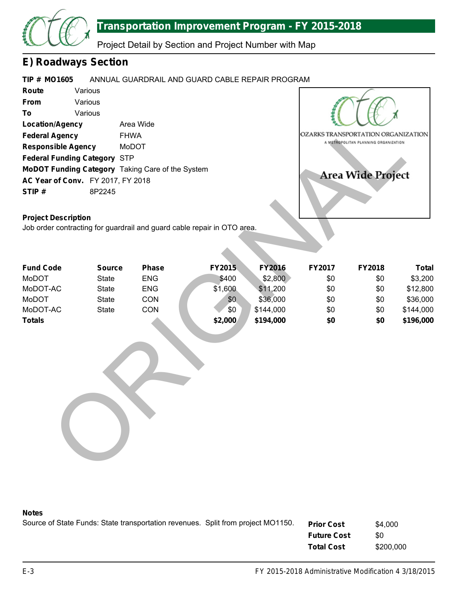

Project Detail by Section and Project Number with Map

### **E) Roadways Section**

#### **TIP # MO1605** ANNUAL GUARDRAIL AND GUARD CABLE REPAIR PROGRAM

| Various                                  |                                                         |
|------------------------------------------|---------------------------------------------------------|
| Various                                  |                                                         |
| Various                                  |                                                         |
| <b>Location/Agency</b>                   | Area Wide                                               |
| <b>Federal Agency</b>                    | <b>FHWA</b>                                             |
| <b>Responsible Agency</b>                | MoDOT                                                   |
| <b>Federal Funding Category STP</b>      |                                                         |
|                                          | <b>MoDOT Funding Category</b> Taking Care of the System |
| <b>AC Year of Conv.</b> FY 2017, FY 2018 |                                                         |
| 8P2245                                   |                                                         |
|                                          |                                                         |



### **Project Description**

| <b>Location/Agency</b>                                                                    |               | Area Wide    |                                                                         |               |        |                                      |              |
|-------------------------------------------------------------------------------------------|---------------|--------------|-------------------------------------------------------------------------|---------------|--------|--------------------------------------|--------------|
| <b>Federal Agency</b><br><b>Responsible Agency</b><br><b>Federal Funding Category STP</b> |               | <b>FHWA</b>  |                                                                         |               |        | OZARKS TRANSPORTATION ORGANIZATION   |              |
|                                                                                           |               | MoDOT        |                                                                         |               |        | A METROPOLITAN PLANNING ORGANIZATION |              |
|                                                                                           |               |              |                                                                         |               |        |                                      |              |
| MoDOT Funding Category Taking Care of the System                                          |               |              |                                                                         |               |        | <b>Area Wide Project</b>             |              |
| AC Year of Conv. FY 2017, FY 2018                                                         |               |              |                                                                         |               |        |                                      |              |
| STIP#                                                                                     | 8P2245        |              |                                                                         |               |        |                                      |              |
|                                                                                           |               |              |                                                                         |               |        |                                      |              |
| <b>Project Description</b>                                                                |               |              |                                                                         |               |        |                                      |              |
|                                                                                           |               |              | Job order contracting for guardrail and guard cable repair in OTO area. |               |        |                                      |              |
|                                                                                           |               |              |                                                                         |               |        |                                      |              |
|                                                                                           |               |              |                                                                         |               |        |                                      |              |
|                                                                                           |               |              |                                                                         |               |        |                                      |              |
| <b>Fund Code</b>                                                                          | <b>Source</b> | <b>Phase</b> | FY2015                                                                  | <b>FY2016</b> | FY2017 | FY2018                               | <b>Total</b> |
| MoDOT                                                                                     | <b>State</b>  | <b>ENG</b>   | \$400                                                                   | \$2,800       | \$0    | \$0                                  | \$3,200      |
| MoDOT-AC                                                                                  | <b>State</b>  | <b>ENG</b>   | \$1,600                                                                 | \$11,200      | \$0    | \$0                                  | \$12,800     |
| MoDOT                                                                                     | <b>State</b>  | CON          | \$0                                                                     | \$36,000      | \$0    | \$0                                  | \$36,000     |
| MoDOT-AC                                                                                  | <b>State</b>  | CON          | \$0                                                                     | \$144,000     | \$0    | \$0                                  | \$144,000    |
| <b>Totals</b>                                                                             |               |              | \$2,000                                                                 | \$194,000     | \$0    | \$0                                  | \$196,000    |
|                                                                                           |               |              |                                                                         |               |        |                                      |              |
|                                                                                           |               |              |                                                                         |               |        |                                      |              |
|                                                                                           |               |              |                                                                         |               |        |                                      |              |
|                                                                                           |               |              |                                                                         |               |        |                                      |              |
|                                                                                           |               |              |                                                                         |               |        |                                      |              |
|                                                                                           |               |              |                                                                         |               |        |                                      |              |
|                                                                                           |               |              |                                                                         |               |        |                                      |              |
|                                                                                           |               |              |                                                                         |               |        |                                      |              |
|                                                                                           |               |              |                                                                         |               |        |                                      |              |
|                                                                                           |               |              |                                                                         |               |        |                                      |              |
|                                                                                           |               |              |                                                                         |               |        |                                      |              |
|                                                                                           |               |              |                                                                         |               |        |                                      |              |
|                                                                                           |               |              |                                                                         |               |        |                                      |              |
|                                                                                           |               |              |                                                                         |               |        |                                      |              |

| Source of State Funds: State transportation revenues. Split from project MO1150. | <b>Prior Cost</b>  | \$4,000   |
|----------------------------------------------------------------------------------|--------------------|-----------|
|                                                                                  | <b>Future Cost</b> | \$0       |
|                                                                                  | <b>Total Cost</b>  | \$200,000 |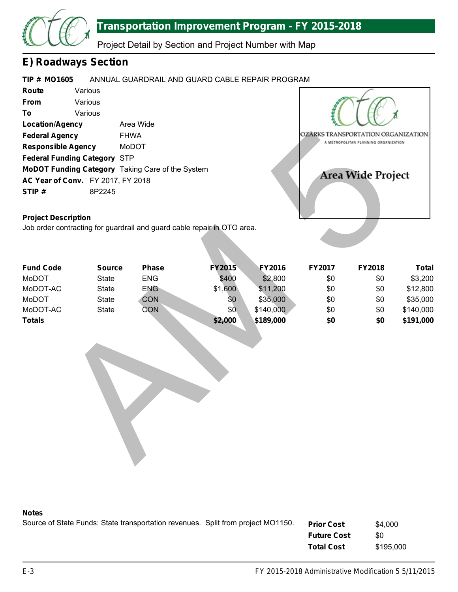

Project Detail by Section and Project Number with Map

### **E) Roadways Section**

# **TIP # MO1605 Route From To Location/Agency Federal Agency Responsible Agency Federal Funding Category** STP **MoDOT Funding Category** Taking Care of the System **AC Year of Conv.** FY 2017, FY 2018 **STIP #** ANNUAL GUARDRAIL AND GUARD CABLE REPAIR PROGRAM Various Various Various Area Wide FHWA MoDOT 8P2245 Manda Agency<br>
Union discovered Motor<br>
Union discovered Motors<br>
Contracting for guardial and guard cable repair in OTO area.<br>
Secretion<br>
State ENG S4000 \$2,800 \$0 \$0 \$0<br>
State ENG S4000 \$189,000 \$0 \$0<br>
Contracting for guard

### **Project Description**

Job order contracting for guardrail and guard cable repair in OTO area.

| <b>Fund Code</b> | <b>Source</b> | <b>Phase</b> | <b>FY2015</b> | <b>FY2016</b> | <b>FY2017</b> | <b>FY2018</b> | Total     |
|------------------|---------------|--------------|---------------|---------------|---------------|---------------|-----------|
| MoDOT            | State         | <b>ENG</b>   | \$400         | \$2,800       | \$0           | \$0           | \$3,200   |
| MoDOT-AC         | <b>State</b>  | <b>ENG</b>   | \$1,600       | \$11,200      | \$0           | \$0           | \$12,800  |
| MoDOT            | <b>State</b>  | <b>CON</b>   | \$0           | \$35,000      | \$0           | \$0           | \$35,000  |
| MoDOT-AC         | <b>State</b>  | CON          | \$0           | \$140,000     | \$0           | \$0           | \$140,000 |
| <b>Totals</b>    |               |              | \$2,000       | \$189,000     | \$0           | \$0           | \$191,000 |



| Source of State Funds: State transportation revenues. Split from project MO1150. | <b>Prior Cost</b>  | \$4,000   |
|----------------------------------------------------------------------------------|--------------------|-----------|
|                                                                                  | <b>Future Cost</b> | \$0       |
|                                                                                  | <b>Total Cost</b>  | \$195,000 |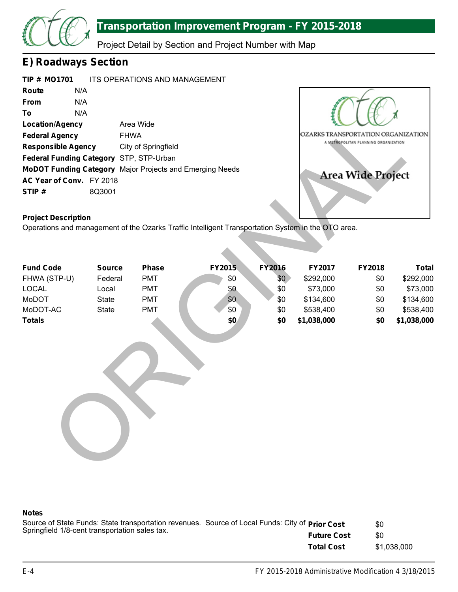

Project Detail by Section and Project Number with Map

### **E) Roadways Section**

| <b>TIP # MO1701</b>       |        | <b>ITS OPERATIONS AND MANAGEMENT</b>                            |
|---------------------------|--------|-----------------------------------------------------------------|
| Route                     | N/A    |                                                                 |
| <b>From</b>               | N/A    |                                                                 |
| To                        | N/A    |                                                                 |
| <b>Location/Agency</b>    |        | Area Wide                                                       |
| <b>Federal Agency</b>     |        | <b>FHWA</b>                                                     |
| <b>Responsible Agency</b> |        | City of Springfield                                             |
|                           |        | Federal Funding Category STP, STP-Urban                         |
|                           |        | <b>MoDOT Funding Category</b> Major Projects and Emerging Needs |
| AC Year of Conv. FY 2018  |        |                                                                 |
| STIP#                     | 8Q3001 |                                                                 |



### **Project Description**

| <b>Location/Agency</b><br><b>Federal Agency</b><br><b>Responsible Agency</b><br>Federal Funding Category STP, STP-Urban<br>MoDOT Funding Category Major Projects and Emerging Needs<br>AC Year of Conv. FY 2018<br>STIP#<br><b>Project Description</b> | <b>FHWA</b><br>8Q3001 | Area Wide<br>City of Springfield | Operations and management of the Ozarks Traffic Intelligent Transportation System in the OTO area. |               | OZARKS TRANSPORTATION ORGANIZATION | A METROPOLITAN PLANNING ORGANIZATION<br><b>Area Wide Project</b> |              |
|--------------------------------------------------------------------------------------------------------------------------------------------------------------------------------------------------------------------------------------------------------|-----------------------|----------------------------------|----------------------------------------------------------------------------------------------------|---------------|------------------------------------|------------------------------------------------------------------|--------------|
|                                                                                                                                                                                                                                                        |                       |                                  |                                                                                                    |               |                                    |                                                                  |              |
| <b>Fund Code</b>                                                                                                                                                                                                                                       | <b>Source</b>         | <b>Phase</b>                     | FY2015                                                                                             | <b>FY2016</b> | FY2017                             | FY2018                                                           | <b>Total</b> |
| FHWA (STP-U)                                                                                                                                                                                                                                           | Federal               | <b>PMT</b>                       | \$0                                                                                                | \$0           | \$292,000                          | \$0                                                              | \$292,000    |
| <b>LOCAL</b>                                                                                                                                                                                                                                           | Local                 | <b>PMT</b>                       | \$0                                                                                                | \$0           | \$73,000                           | \$0                                                              | \$73,000     |
| MoDOT                                                                                                                                                                                                                                                  | <b>State</b>          | <b>PMT</b>                       | \$0                                                                                                | \$0           | \$134,600                          | \$0                                                              | \$134,600    |
| MoDOT-AC                                                                                                                                                                                                                                               | <b>State</b>          | <b>PMT</b>                       | \$0                                                                                                | \$0           | \$538,400                          | \$0                                                              | \$538,400    |
| <b>Totals</b>                                                                                                                                                                                                                                          |                       |                                  | \$0                                                                                                | \$0           | \$1,038,000                        | \$0                                                              | \$1,038,000  |
|                                                                                                                                                                                                                                                        |                       |                                  |                                                                                                    |               |                                    |                                                                  |              |

| Source of State Funds: State transportation revenues. Source of Local Funds: City of Prior Cost |                    | \$0         |
|-------------------------------------------------------------------------------------------------|--------------------|-------------|
| Springfield 1/8-cent transportation sales tax.                                                  | <b>Future Cost</b> | \$0         |
|                                                                                                 | <b>Total Cost</b>  | \$1.038.000 |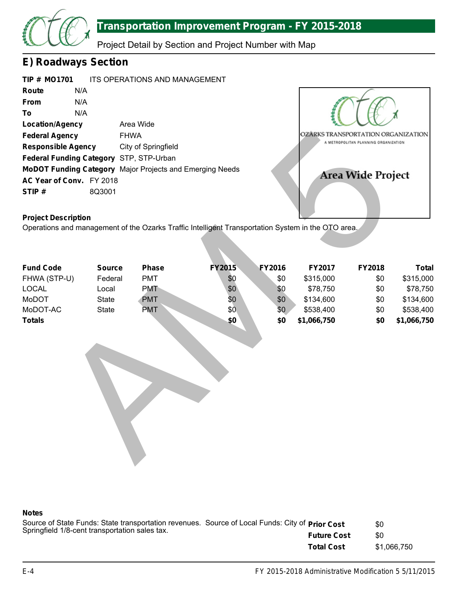

Project Detail by Section and Project Number with Map

### **E) Roadways Section**

| TIP # MO1701 |                                         | ITS OPERATIONS AND MANAGEMENT                                   |
|--------------|-----------------------------------------|-----------------------------------------------------------------|
| Route        | N/A                                     |                                                                 |
| <b>From</b>  | N/A                                     |                                                                 |
| To           | N/A                                     |                                                                 |
|              | <b>Location/Agency</b>                  | Area Wide                                                       |
|              | <b>Federal Agency</b>                   | <b>FHWA</b>                                                     |
|              | <b>Responsible Agency</b>               | City of Springfield                                             |
|              | Federal Funding Category STP, STP-Urban |                                                                 |
|              |                                         | <b>MoDOT Funding Category</b> Major Projects and Emerging Needs |
|              | AC Year of Conv. FY 2018                |                                                                 |
| STIP#        | 8Q3001                                  |                                                                 |



### **Project Description**

| <b>Federal Agency</b>                                                                              | <b>FHWA</b>   |                     |               |               | OZÂRKS TRANSPORTATION ORGANIZATION |                                      |              |  |
|----------------------------------------------------------------------------------------------------|---------------|---------------------|---------------|---------------|------------------------------------|--------------------------------------|--------------|--|
| <b>Responsible Agency</b><br>Federal Funding Category STP, STP-Urban                               |               | City of Springfield |               |               |                                    | A METROPOLITAN PLANNING ORGANIZATION |              |  |
|                                                                                                    |               |                     |               |               |                                    |                                      |              |  |
| MoDOT Funding Category Major Projects and Emerging Needs                                           |               |                     |               |               |                                    |                                      |              |  |
| AC Year of Conv. FY 2018                                                                           |               |                     |               |               |                                    | Area Wide Project                    |              |  |
| STIP#                                                                                              | 8Q3001        |                     |               |               |                                    |                                      |              |  |
|                                                                                                    |               |                     |               |               |                                    |                                      |              |  |
|                                                                                                    |               |                     |               |               |                                    |                                      |              |  |
| <b>Project Description</b>                                                                         |               |                     |               |               |                                    |                                      |              |  |
| Operations and management of the Ozarks Traffic Intelligent Transportation System in the OTO area. |               |                     |               |               |                                    |                                      |              |  |
|                                                                                                    |               |                     |               |               |                                    |                                      |              |  |
|                                                                                                    |               |                     |               |               |                                    |                                      |              |  |
| <b>Fund Code</b>                                                                                   | <b>Source</b> | <b>Phase</b>        | <b>FY2015</b> | <b>FY2016</b> | FY2017                             | <b>FY2018</b>                        | <b>Total</b> |  |
| FHWA (STP-U)                                                                                       | Federal       | <b>PMT</b>          | \$0           | \$0           | \$315,000                          | \$0                                  | \$315,000    |  |
| <b>LOCAL</b>                                                                                       | Local         | <b>PMT</b>          | \$0           | \$0           | \$78,750                           | \$0                                  | \$78,750     |  |
| MoDOT                                                                                              | <b>State</b>  | <b>PMT</b>          | \$0           | \$0           | \$134,600                          | \$0                                  | \$134,600    |  |
| MoDOT-AC                                                                                           | <b>State</b>  | <b>PMT</b>          | \$0           | \$0           | \$538,400                          | \$0                                  | \$538,400    |  |
| <b>Totals</b>                                                                                      |               |                     | \$0           | \$0           | \$1,066,750                        | \$0                                  | \$1,066,750  |  |
|                                                                                                    |               |                     |               |               |                                    |                                      |              |  |
|                                                                                                    |               |                     |               |               |                                    |                                      |              |  |
|                                                                                                    |               |                     |               |               |                                    |                                      |              |  |
|                                                                                                    |               |                     |               |               |                                    |                                      |              |  |
|                                                                                                    |               |                     |               |               |                                    |                                      |              |  |
|                                                                                                    |               |                     |               |               |                                    |                                      |              |  |
|                                                                                                    |               |                     |               |               |                                    |                                      |              |  |
|                                                                                                    |               |                     |               |               |                                    |                                      |              |  |
|                                                                                                    |               |                     |               |               |                                    |                                      |              |  |
|                                                                                                    |               |                     |               |               |                                    |                                      |              |  |
|                                                                                                    |               |                     |               |               |                                    |                                      |              |  |
|                                                                                                    |               |                     |               |               |                                    |                                      |              |  |
|                                                                                                    |               |                     |               |               |                                    |                                      |              |  |
|                                                                                                    |               |                     |               |               |                                    |                                      |              |  |

| Source of State Funds: State transportation revenues. Source of Local Funds: City of Prior Cost |                    | \$0         |
|-------------------------------------------------------------------------------------------------|--------------------|-------------|
| Springfield 1/8-cent transportation sales tax.                                                  | <b>Future Cost</b> | \$0         |
|                                                                                                 | <b>Total Cost</b>  | \$1,066,750 |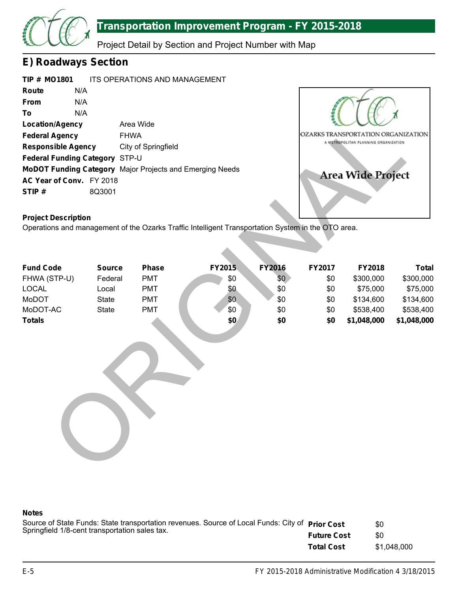

Project Detail by Section and Project Number with Map

### **E) Roadways Section**

| <b>TIP # MO1801</b>                   |        | ITS OPERATIONS AND MANAGEMENT                            |
|---------------------------------------|--------|----------------------------------------------------------|
| Route                                 | N/A    |                                                          |
| From                                  | N/A    |                                                          |
| To                                    | N/A    |                                                          |
| <b>Location/Agency</b>                |        | Area Wide                                                |
| <b>Federal Agency</b>                 |        | <b>FHWA</b>                                              |
| <b>Responsible Agency</b>             |        | City of Springfield                                      |
| <b>Federal Funding Category STP-U</b> |        |                                                          |
|                                       |        | MoDOT Funding Category Major Projects and Emerging Needs |
| AC Year of Conv. FY 2018              |        |                                                          |
| STIP#                                 | 8Q3001 |                                                          |



### **Project Description**

| <b>Location/Agency</b>                                   | Area Wide     |                     |                                                                                                    |               |                                                                            |                          |              |  |
|----------------------------------------------------------|---------------|---------------------|----------------------------------------------------------------------------------------------------|---------------|----------------------------------------------------------------------------|--------------------------|--------------|--|
| <b>Federal Agency</b>                                    | <b>FHWA</b>   |                     |                                                                                                    |               | OZARKS TRANSPORTATION ORGANIZATION<br>A METROPOLITAN PLANNING ORGANIZATION |                          |              |  |
| <b>Responsible Agency</b>                                |               | City of Springfield |                                                                                                    |               |                                                                            |                          |              |  |
| Federal Funding Category STP-U                           |               |                     |                                                                                                    |               |                                                                            |                          |              |  |
| MoDOT Funding Category Major Projects and Emerging Needs |               |                     |                                                                                                    |               |                                                                            |                          |              |  |
| AC Year of Conv. FY 2018                                 |               |                     |                                                                                                    |               |                                                                            | <b>Area Wide Project</b> |              |  |
| STIP#                                                    | 8Q3001        |                     |                                                                                                    |               |                                                                            |                          |              |  |
|                                                          |               |                     |                                                                                                    |               |                                                                            |                          |              |  |
| <b>Project Description</b>                               |               |                     |                                                                                                    |               |                                                                            |                          |              |  |
|                                                          |               |                     | Operations and management of the Ozarks Traffic Intelligent Transportation System in the OTO area. |               |                                                                            |                          |              |  |
|                                                          |               |                     |                                                                                                    |               |                                                                            |                          |              |  |
|                                                          |               |                     |                                                                                                    |               |                                                                            |                          |              |  |
|                                                          |               |                     |                                                                                                    |               |                                                                            |                          |              |  |
| <b>Fund Code</b>                                         | <b>Source</b> | <b>Phase</b>        | FY2015                                                                                             | <b>FY2016</b> | FY2017                                                                     | FY2018                   | <b>Total</b> |  |
| FHWA (STP-U)                                             | Federal       | <b>PMT</b>          | \$0                                                                                                | \$0           | \$0                                                                        | \$300,000                | \$300,000    |  |
| <b>LOCAL</b>                                             | Local         | <b>PMT</b>          | \$0                                                                                                | \$0           | \$0                                                                        | \$75,000                 | \$75,000     |  |
| MoDOT                                                    | <b>State</b>  | <b>PMT</b>          | \$0                                                                                                | \$0           | \$0                                                                        | \$134,600                | \$134,600    |  |
| MoDOT-AC                                                 | <b>State</b>  | <b>PMT</b>          | \$0                                                                                                | \$0           | \$0                                                                        | \$538,400                | \$538,400    |  |
| <b>Totals</b>                                            |               |                     | \$0                                                                                                | \$0           | \$0                                                                        | \$1,048,000              | \$1,048,000  |  |
|                                                          |               |                     |                                                                                                    |               |                                                                            |                          |              |  |
|                                                          |               |                     |                                                                                                    |               |                                                                            |                          |              |  |
|                                                          |               |                     |                                                                                                    |               |                                                                            |                          |              |  |
|                                                          |               |                     |                                                                                                    |               |                                                                            |                          |              |  |
|                                                          |               |                     |                                                                                                    |               |                                                                            |                          |              |  |
|                                                          |               |                     |                                                                                                    |               |                                                                            |                          |              |  |
|                                                          |               |                     |                                                                                                    |               |                                                                            |                          |              |  |
|                                                          |               |                     |                                                                                                    |               |                                                                            |                          |              |  |
|                                                          |               |                     |                                                                                                    |               |                                                                            |                          |              |  |
|                                                          |               |                     |                                                                                                    |               |                                                                            |                          |              |  |
|                                                          |               |                     |                                                                                                    |               |                                                                            |                          |              |  |
|                                                          |               |                     |                                                                                                    |               |                                                                            |                          |              |  |
|                                                          |               |                     |                                                                                                    |               |                                                                            |                          |              |  |
|                                                          |               |                     |                                                                                                    |               |                                                                            |                          |              |  |

| Source of State Funds: State transportation revenues. Source of Local Funds: City of Prior Cost |                    | \$0         |
|-------------------------------------------------------------------------------------------------|--------------------|-------------|
| Springfield 1/8-cent transportation sales tax.                                                  | <b>Future Cost</b> | \$0         |
|                                                                                                 | <b>Total Cost</b>  | \$1.048.000 |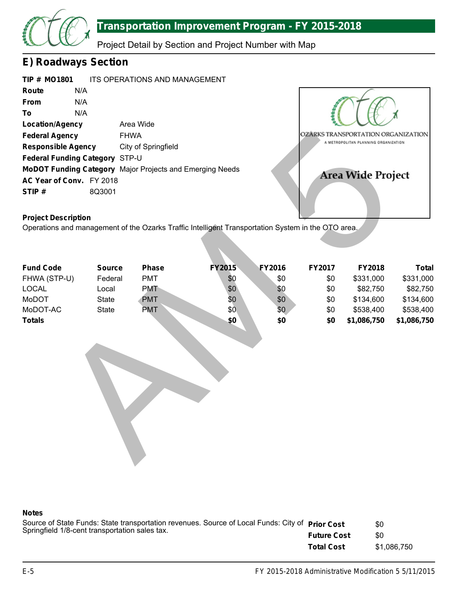

Project Detail by Section and Project Number with Map

### **E) Roadways Section**

|       | <b>TIP # MO1801</b>            | <b>ITS OPERATIONS AND MANAGEMENT</b>                     |
|-------|--------------------------------|----------------------------------------------------------|
| Route | N/A                            |                                                          |
| From  | N/A                            |                                                          |
| To    | N/A                            |                                                          |
|       | <b>Location/Agency</b>         | Area Wide                                                |
|       | <b>Federal Agency</b>          | <b>FHWA</b>                                              |
|       | <b>Responsible Agency</b>      | City of Springfield                                      |
|       | Federal Funding Category STP-U |                                                          |
|       |                                | MoDOT Funding Category Major Projects and Emerging Needs |
|       | AC Year of Conv. FY 2018       |                                                          |
| STIP# | 8Q3001                         |                                                          |



### **Project Description**

| <b>FHWA</b><br><b>Federal Agency</b>                                                               |               | OZÂRKS TRANSPORTATION ORGANIZATION                       |               |        |                                      |                   |              |  |
|----------------------------------------------------------------------------------------------------|---------------|----------------------------------------------------------|---------------|--------|--------------------------------------|-------------------|--------------|--|
| <b>Responsible Agency</b>                                                                          |               | City of Springfield                                      |               |        | A METROPOLITAN PLANNING ORGANIZATION |                   |              |  |
| Federal Funding Category STP-U                                                                     |               |                                                          |               |        |                                      |                   |              |  |
|                                                                                                    |               | MoDOT Funding Category Major Projects and Emerging Needs |               |        |                                      |                   |              |  |
| AC Year of Conv. FY 2018                                                                           |               |                                                          |               |        |                                      | Area Wide Project |              |  |
| STIP#                                                                                              | 8Q3001        |                                                          |               |        |                                      |                   |              |  |
|                                                                                                    |               |                                                          |               |        |                                      |                   |              |  |
|                                                                                                    |               |                                                          |               |        |                                      |                   |              |  |
| <b>Project Description</b>                                                                         |               |                                                          |               |        |                                      |                   |              |  |
| Operations and management of the Ozarks Traffic Intelligent Transportation System in the OTO area. |               |                                                          |               |        |                                      |                   |              |  |
|                                                                                                    |               |                                                          |               |        |                                      |                   |              |  |
|                                                                                                    |               |                                                          |               |        |                                      |                   |              |  |
| <b>Fund Code</b>                                                                                   | <b>Source</b> | <b>Phase</b>                                             | <b>FY2015</b> | FY2016 | FY2017                               | FY2018            | <b>Total</b> |  |
| FHWA (STP-U)                                                                                       | Federal       | <b>PMT</b>                                               | \$0           | \$0    | \$0                                  | \$331,000         | \$331,000    |  |
| <b>LOCAL</b>                                                                                       | Local         | <b>PMT</b>                                               | \$0           | \$0    | \$0                                  | \$82,750          | \$82,750     |  |
| MoDOT                                                                                              | <b>State</b>  | <b>PMT</b>                                               | \$0           | \$0    | \$0                                  | \$134,600         | \$134,600    |  |
| MoDOT-AC                                                                                           | <b>State</b>  | <b>PMT</b>                                               | \$0           | \$0    | \$0                                  | \$538,400         | \$538,400    |  |
| <b>Totals</b>                                                                                      |               |                                                          | \$0           | \$0    | \$0                                  | \$1,086,750       | \$1,086,750  |  |
|                                                                                                    |               |                                                          |               |        |                                      |                   |              |  |
|                                                                                                    |               |                                                          |               |        |                                      |                   |              |  |
|                                                                                                    |               |                                                          |               |        |                                      |                   |              |  |
|                                                                                                    |               |                                                          |               |        |                                      |                   |              |  |
|                                                                                                    |               |                                                          |               |        |                                      |                   |              |  |
|                                                                                                    |               |                                                          |               |        |                                      |                   |              |  |
|                                                                                                    |               |                                                          |               |        |                                      |                   |              |  |
|                                                                                                    |               |                                                          |               |        |                                      |                   |              |  |
|                                                                                                    |               |                                                          |               |        |                                      |                   |              |  |
|                                                                                                    |               |                                                          |               |        |                                      |                   |              |  |
|                                                                                                    |               |                                                          |               |        |                                      |                   |              |  |
|                                                                                                    |               |                                                          |               |        |                                      |                   |              |  |
|                                                                                                    |               |                                                          |               |        |                                      |                   |              |  |
|                                                                                                    |               |                                                          |               |        |                                      |                   |              |  |

| Source of State Funds: State transportation revenues. Source of Local Funds: City of Prior Cost |                    | \$0         |
|-------------------------------------------------------------------------------------------------|--------------------|-------------|
| Springfield 1/8-cent transportation sales tax.                                                  | <b>Future Cost</b> | \$0         |
|                                                                                                 | <b>Total Cost</b>  | \$1.086.750 |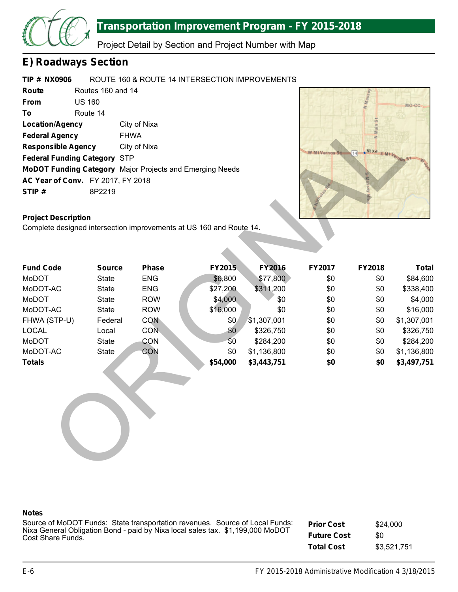

Project Detail by Section and Project Number with Map

### **E) Roadways Section**

#### **TIP # NX0906** ROUTE 160 & ROUTE 14 INTERSECTION IMPROVEMENTS

| Route                                    | Routes 160 and 14 |                                                                 |
|------------------------------------------|-------------------|-----------------------------------------------------------------|
| <b>From</b>                              | <b>US 160</b>     |                                                                 |
| To                                       | Route 14          |                                                                 |
| <b>Location/Agency</b>                   |                   | City of Nixa                                                    |
| <b>Federal Agency</b>                    |                   | <b>FHWA</b>                                                     |
| <b>Responsible Agency</b>                |                   | City of Nixa                                                    |
| <b>Federal Funding Category STP</b>      |                   |                                                                 |
|                                          |                   | <b>MoDOT Funding Category</b> Major Projects and Emerging Needs |
| <b>AC Year of Conv.</b> FY 2017, FY 2018 |                   |                                                                 |
| STIP#                                    | 8P2219            |                                                                 |



### **Project Description**

| <b>Federal Agency</b><br><b>Responsible Agency</b><br><b>Federal Funding Category STP</b><br>MoDOT Funding Category Major Projects and Emerging Needs<br>AC Year of Conv. FY 2017, FY 2018<br>STIP# | <b>FHWA</b><br>8P2219 | City of Nixa |                 |                            | W Mt Vernon St | Nixa E MtVernon |                            |
|-----------------------------------------------------------------------------------------------------------------------------------------------------------------------------------------------------|-----------------------|--------------|-----------------|----------------------------|----------------|-----------------|----------------------------|
| <b>Project Description</b><br>Complete designed intersection improvements at US 160 and Route 14.                                                                                                   |                       |              |                 |                            |                |                 |                            |
|                                                                                                                                                                                                     |                       |              |                 |                            |                |                 |                            |
| <b>Fund Code</b>                                                                                                                                                                                    | <b>Source</b>         | Phase        | FY2015          | <b>FY2016</b>              | FY2017         | FY2018          | <b>Total</b>               |
| MoDOT                                                                                                                                                                                               | <b>State</b>          | <b>ENG</b>   | \$6,800         | \$77,800                   | \$0            | \$0             | \$84,600                   |
| MoDOT-AC                                                                                                                                                                                            | <b>State</b>          | <b>ENG</b>   | \$27,200        | \$311,200                  | \$0            | \$0             | \$338,400                  |
| MoDOT                                                                                                                                                                                               | <b>State</b>          | <b>ROW</b>   | \$4,000         | \$0                        | \$0            | \$0             | \$4,000                    |
| MoDOT-AC                                                                                                                                                                                            | <b>State</b>          | <b>ROW</b>   | \$16,000        | \$0                        | \$0            | \$0             | \$16,000                   |
| FHWA (STP-U)                                                                                                                                                                                        | Federal               | <b>CON</b>   | \$0             | \$1,307,001                | \$0            | \$0             | \$1,307,001                |
| <b>LOCAL</b>                                                                                                                                                                                        | Local                 | <b>CON</b>   | \$0             | \$326,750                  | \$0            | \$0             | \$326,750                  |
| MoDOT                                                                                                                                                                                               | <b>State</b>          | CON          | \$0             | \$284,200                  | \$0            | \$0             | \$284,200                  |
| MoDOT-AC<br><b>Totals</b>                                                                                                                                                                           | <b>State</b>          | CON          | \$0<br>\$54,000 | \$1,136,800<br>\$3,443,751 | \$0<br>\$0     | \$0<br>\$0      | \$1,136,800<br>\$3,497,751 |
|                                                                                                                                                                                                     |                       |              |                 |                            |                |                 |                            |

#### **Notes**

Source of MoDOT Funds: State transportation revenues. Source of Local Funds: Nixa General Obligation Bond - paid by Nixa local sales tax. \$1,199,000 MoDOT Cost Share Funds.

**Prior Cost Future Cost Total Cost** \$24,000 \$0 \$3,521,751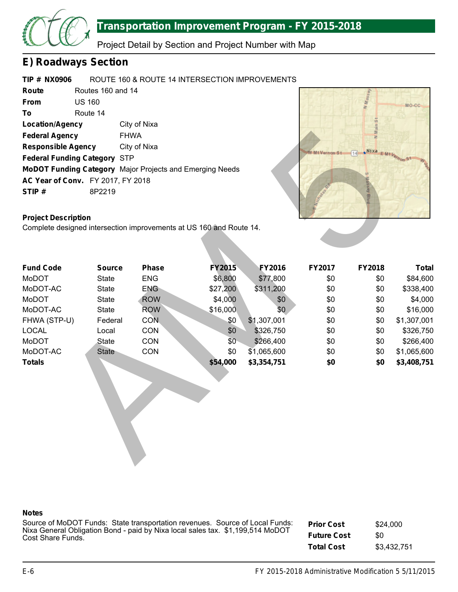

Project Detail by Section and Project Number with Map

### **E) Roadways Section**

#### **TIP # NX0906** ROUTE 160 & ROUTE 14 INTERSECTION IMPROVEMENTS

| Route                               | Routes 160 and 14                        |                                                                 |  |  |
|-------------------------------------|------------------------------------------|-----------------------------------------------------------------|--|--|
| <b>From</b>                         | <b>US 160</b>                            |                                                                 |  |  |
| To                                  | Route 14                                 |                                                                 |  |  |
| <b>Location/Agency</b>              |                                          | City of Nixa                                                    |  |  |
| <b>Federal Agency</b>               |                                          | <b>FHWA</b>                                                     |  |  |
| <b>Responsible Agency</b>           |                                          | City of Nixa                                                    |  |  |
| <b>Federal Funding Category STP</b> |                                          |                                                                 |  |  |
|                                     |                                          | <b>MoDOT Funding Category</b> Major Projects and Emerging Needs |  |  |
|                                     | <b>AC Year of Conv.</b> FY 2017, FY 2018 |                                                                 |  |  |
| STIP#                               | 8P2219                                   |                                                                 |  |  |



### **Project Description**

| <b>Federal Agency</b>                                               |               | <b>FHWA</b>  |               |               |                |                          |              |
|---------------------------------------------------------------------|---------------|--------------|---------------|---------------|----------------|--------------------------|--------------|
| <b>Responsible Agency</b>                                           |               | City of Nixa |               |               |                |                          |              |
| <b>Federal Funding Category STP</b>                                 |               |              |               |               | V-Mt Vernon S1 | Nixa E MtVernon St<br>14 |              |
| MoDOT Funding Category Major Projects and Emerging Needs            |               |              |               |               |                |                          |              |
| AC Year of Conv. FY 2017, FY 2018                                   |               |              |               |               |                |                          |              |
| STIP#                                                               | 8P2219        |              |               |               |                |                          |              |
|                                                                     |               |              |               |               |                |                          |              |
|                                                                     |               |              |               |               |                |                          |              |
| <b>Project Description</b>                                          |               |              |               |               |                |                          |              |
| Complete designed intersection improvements at US 160 and Route 14. |               |              |               |               |                |                          |              |
|                                                                     |               |              |               |               |                |                          |              |
|                                                                     |               |              |               |               |                |                          |              |
| <b>Fund Code</b>                                                    | <b>Source</b> | Phase        | <b>FY2015</b> | <b>FY2016</b> | FY2017         | FY2018                   | <b>Total</b> |
| MoDOT                                                               | <b>State</b>  | <b>ENG</b>   | \$6,800       | \$77,800      | \$0            | \$0                      | \$84,600     |
| MoDOT-AC                                                            | <b>State</b>  | <b>ENG</b>   | \$27,200      | \$311,200     | \$0            | \$0                      | \$338,400    |
| MoDOT                                                               | <b>State</b>  | <b>ROW</b>   | \$4,000       | \$0           | \$0            | \$0                      | \$4,000      |
| MoDOT-AC                                                            | <b>State</b>  | <b>ROW</b>   | \$16,000      | \$0           | \$0            | \$0                      | \$16,000     |
| FHWA (STP-U)                                                        | Federal       | <b>CON</b>   | \$0           | \$1,307,001   | \$0            | \$0                      | \$1,307,001  |
| <b>LOCAL</b>                                                        | Local         | CON          | \$0           | \$326,750     | \$0            | \$0                      | \$326,750    |
| MoDOT                                                               | <b>State</b>  | CON          | \$0           | \$266,400     | \$0            | \$0                      | \$266,400    |
| MoDOT-AC                                                            | <b>State</b>  | CON          | \$0           | \$1,065,600   | \$0            | \$0                      | \$1,065,600  |
| <b>Totals</b>                                                       |               |              | \$54,000      | \$3,354,751   | \$0            | \$0                      | \$3,408,751  |
|                                                                     |               |              |               |               |                |                          |              |
|                                                                     |               |              |               |               |                |                          |              |
|                                                                     |               |              |               |               |                |                          |              |
|                                                                     |               |              |               |               |                |                          |              |
|                                                                     |               |              |               |               |                |                          |              |
|                                                                     |               |              |               |               |                |                          |              |
|                                                                     |               |              |               |               |                |                          |              |
|                                                                     |               |              |               |               |                |                          |              |
|                                                                     |               |              |               |               |                |                          |              |
|                                                                     |               |              |               |               |                |                          |              |

#### **Notes**

Source of MoDOT Funds: State transportation revenues. Source of Local Funds: Nixa General Obligation Bond - paid by Nixa local sales tax. \$1,199,514 MoDOT Cost Share Funds.

**Prior Cost Future Cost Total Cost** \$24,000 \$0 \$3,432,751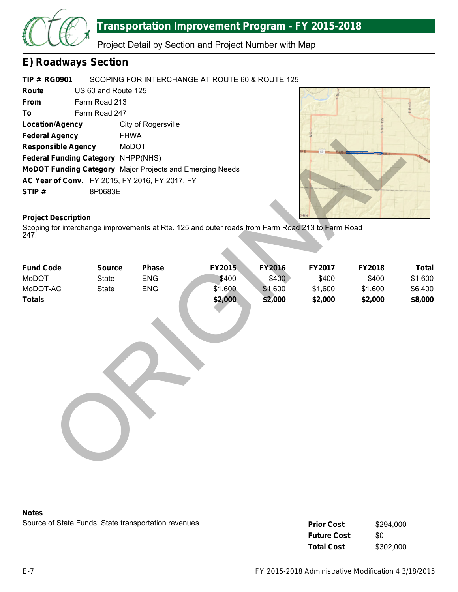

Project Detail by Section and Project Number with Map

### **E) Roadways Section**

#### **TIP # RG0901** SCOPING FOR INTERCHANGE AT ROUTE 60 & ROUTE 125

| Route                                     | US 60 and Route 125 |                                                                 |  |  |
|-------------------------------------------|---------------------|-----------------------------------------------------------------|--|--|
| From                                      | Farm Road 213       |                                                                 |  |  |
| To                                        | Farm Road 247       |                                                                 |  |  |
| <b>Location/Agency</b>                    |                     | City of Rogersville                                             |  |  |
| <b>Federal Agency</b>                     |                     | <b>FHWA</b>                                                     |  |  |
| <b>Responsible Agency</b>                 |                     | MoDOT                                                           |  |  |
| <b>Federal Funding Category NHPP(NHS)</b> |                     |                                                                 |  |  |
|                                           |                     | <b>MoDOT Funding Category</b> Major Projects and Emerging Needs |  |  |
|                                           |                     | AC Year of Conv. FY 2015, FY 2016, FY 2017, FY                  |  |  |
| STIP#                                     | 8P0683E             |                                                                 |  |  |



### **Project Description**

| <b>Location/Agency</b><br><b>Federal Agency</b><br><b>Responsible Agency</b><br>Federal Funding Category NHPP(NHS)<br>MoDOT Funding Category Major Projects and Emerging Needs<br>AC Year of Conv. FY 2015, FY 2016, FY 2017, FY<br>STIP#<br><b>Project Description</b><br>Scoping for interchange improvements at Rte. 125 and outer roads from Farm Road 213 to Farm Road<br>247. | <b>FHWA</b><br>MoDOT<br>8P0683E | City of Rogersville |         |               |         |         |              |
|-------------------------------------------------------------------------------------------------------------------------------------------------------------------------------------------------------------------------------------------------------------------------------------------------------------------------------------------------------------------------------------|---------------------------------|---------------------|---------|---------------|---------|---------|--------------|
| <b>Fund Code</b>                                                                                                                                                                                                                                                                                                                                                                    | <b>Source</b>                   | <b>Phase</b>        | FY2015  | <b>FY2016</b> | FY2017  | FY2018  | <b>Total</b> |
| MoDOT                                                                                                                                                                                                                                                                                                                                                                               | <b>State</b>                    | <b>ENG</b>          | \$400   | \$400         | \$400   | \$400   | \$1,600      |
| MoDOT-AC                                                                                                                                                                                                                                                                                                                                                                            | <b>State</b>                    | <b>ENG</b>          | \$1,600 | \$1,600       | \$1,600 | \$1,600 | \$6,400      |
| <b>Totals</b>                                                                                                                                                                                                                                                                                                                                                                       |                                 |                     | \$2,000 | \$2,000       | \$2,000 | \$2,000 | \$8,000      |

#### **Notes**

| <b>Prior Cost</b>  | \$294,000 |
|--------------------|-----------|
| <b>Future Cost</b> | 80        |
| <b>Total Cost</b>  | \$302,000 |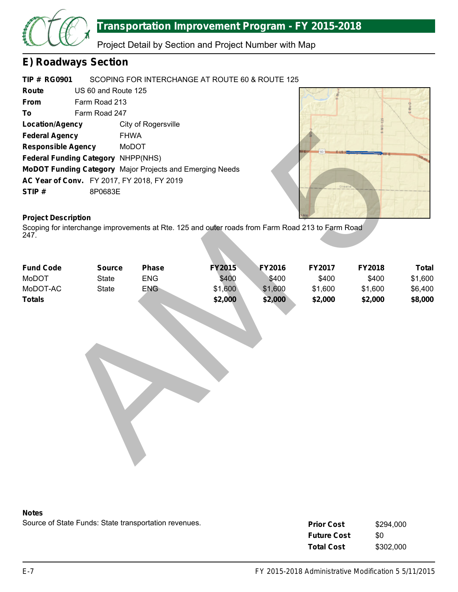

Project Detail by Section and Project Number with Map

### **E) Roadways Section**

#### **TIP # RG0901** SCOPING FOR INTERCHANGE AT ROUTE 60 & ROUTE 125

| Route                              | US 60 and Route 125 |                                                                 |  |  |
|------------------------------------|---------------------|-----------------------------------------------------------------|--|--|
| <b>From</b>                        | Farm Road 213       |                                                                 |  |  |
| To                                 | Farm Road 247       |                                                                 |  |  |
| Location/Agency                    |                     | City of Rogersville                                             |  |  |
| <b>Federal Agency</b>              |                     | <b>FHWA</b>                                                     |  |  |
| <b>Responsible Agency</b>          |                     | MoDOT                                                           |  |  |
| Federal Funding Category NHPP(NHS) |                     |                                                                 |  |  |
|                                    |                     | <b>MoDOT Funding Category</b> Major Projects and Emerging Needs |  |  |
|                                    |                     | <b>AC Year of Conv.</b> FY 2017, FY 2018, FY 2019               |  |  |
| STIP#                              | 8P0683E             |                                                                 |  |  |



### **Project Description**

| <b>Federal Agency</b><br><b>FHWA</b>                     |               |            |                                                                                                  |               |         |         |              |
|----------------------------------------------------------|---------------|------------|--------------------------------------------------------------------------------------------------|---------------|---------|---------|--------------|
| <b>Responsible Agency</b>                                |               | MoDOT      |                                                                                                  |               |         |         |              |
| Federal Funding Category NHPP(NHS)                       |               |            |                                                                                                  |               |         |         |              |
| MoDOT Funding Category Major Projects and Emerging Needs |               |            |                                                                                                  |               |         |         |              |
| AC Year of Conv. FY 2017, FY 2018, FY 2019               |               |            |                                                                                                  |               |         |         |              |
| STIP#                                                    | 8P0683E       |            |                                                                                                  |               | Gree    |         |              |
|                                                          |               |            |                                                                                                  |               |         |         |              |
|                                                          |               |            |                                                                                                  |               |         |         |              |
| <b>Project Description</b>                               |               |            |                                                                                                  |               |         |         |              |
| 247.                                                     |               |            | Scoping for interchange improvements at Rte. 125 and outer roads from Farm Road 213 to Farm Road |               |         |         |              |
|                                                          |               |            |                                                                                                  |               |         |         |              |
|                                                          |               |            |                                                                                                  |               |         |         |              |
| <b>Fund Code</b>                                         | <b>Source</b> | Phase      | <b>FY2015</b>                                                                                    | <b>FY2016</b> | FY2017  | FY2018  | <b>Total</b> |
| MoDOT                                                    | <b>State</b>  | ENG        | \$400                                                                                            | \$400         | \$400   | \$400   | \$1,600      |
| MoDOT-AC                                                 | <b>State</b>  | <b>ENG</b> | \$1,600                                                                                          | \$1,600       | \$1,600 | \$1,600 | \$6,400      |
| <b>Totals</b>                                            |               |            | \$2,000                                                                                          | \$2,000       | \$2,000 | \$2,000 | \$8,000      |
|                                                          |               |            |                                                                                                  |               |         |         |              |
|                                                          |               |            |                                                                                                  |               |         |         |              |
|                                                          |               |            |                                                                                                  |               |         |         |              |
|                                                          |               |            |                                                                                                  |               |         |         |              |
|                                                          |               |            |                                                                                                  |               |         |         |              |
|                                                          |               |            |                                                                                                  |               |         |         |              |
|                                                          |               |            |                                                                                                  |               |         |         |              |
|                                                          |               |            |                                                                                                  |               |         |         |              |
|                                                          |               |            |                                                                                                  |               |         |         |              |
|                                                          |               |            |                                                                                                  |               |         |         |              |
|                                                          |               |            |                                                                                                  |               |         |         |              |
|                                                          |               |            |                                                                                                  |               |         |         |              |
|                                                          |               |            |                                                                                                  |               |         |         |              |
|                                                          |               |            |                                                                                                  |               |         |         |              |
|                                                          |               |            |                                                                                                  |               |         |         |              |
|                                                          |               |            |                                                                                                  |               |         |         |              |



| <b>Prior Cost</b>  | \$294,000 |
|--------------------|-----------|
| <b>Future Cost</b> | \$0       |
| <b>Total Cost</b>  | \$302,000 |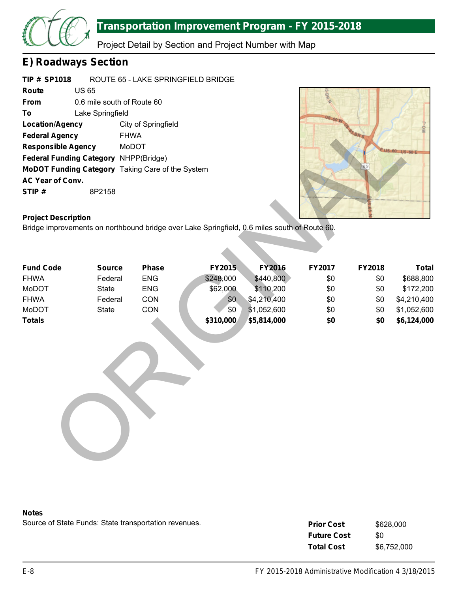

Project Detail by Section and Project Number with Map

### **E) Roadways Section**

| <b>TIP # SP1018</b>                                     | ROUTE 65 - LAKE SPRINGFIELD BRIDGE |                            |  |  |  |
|---------------------------------------------------------|------------------------------------|----------------------------|--|--|--|
| Route                                                   | US 65                              |                            |  |  |  |
| <b>From</b>                                             |                                    | 0.6 mile south of Route 60 |  |  |  |
| To                                                      | Lake Springfield                   |                            |  |  |  |
| <b>Location/Agency</b>                                  |                                    | City of Springfield        |  |  |  |
| <b>Federal Agency</b>                                   |                                    | <b>FHWA</b>                |  |  |  |
| <b>Responsible Agency</b>                               |                                    | MoDOT                      |  |  |  |
| <b>Federal Funding Category NHPP(Bridge)</b>            |                                    |                            |  |  |  |
| <b>MoDOT Funding Category</b> Taking Care of the System |                                    |                            |  |  |  |
| <b>AC Year of Conv.</b>                                 |                                    |                            |  |  |  |
| STIP#                                                   | 8P2158                             |                            |  |  |  |
|                                                         |                                    |                            |  |  |  |



### **Project Description**

| Location/Agency                                  |               | City of Springfield |                                                                                              |               |        |        | MO-J         |
|--------------------------------------------------|---------------|---------------------|----------------------------------------------------------------------------------------------|---------------|--------|--------|--------------|
| <b>Federal Agency</b>                            | <b>FHWA</b>   |                     |                                                                                              |               |        |        |              |
| <b>Responsible Agency</b>                        |               | MoDOT               |                                                                                              |               |        |        |              |
| Federal Funding Category NHPP(Bridge)            |               |                     |                                                                                              |               |        |        |              |
| MoDOT Funding Category Taking Care of the System |               |                     |                                                                                              |               |        |        |              |
| AC Year of Conv.                                 |               |                     |                                                                                              |               |        |        |              |
| STIP#                                            | 8P2158        |                     |                                                                                              |               |        |        |              |
|                                                  |               |                     |                                                                                              |               |        |        |              |
| <b>Project Description</b>                       |               |                     |                                                                                              |               |        |        |              |
|                                                  |               |                     | Bridge improvements on northbound bridge over Lake Springfield, 0.6 miles south of Route 60. |               |        |        |              |
|                                                  |               |                     |                                                                                              |               |        |        |              |
|                                                  |               |                     |                                                                                              |               |        |        |              |
| <b>Fund Code</b>                                 | <b>Source</b> | <b>Phase</b>        | FY2015                                                                                       | <b>FY2016</b> | FY2017 | FY2018 | <b>Total</b> |
| <b>FHWA</b>                                      | Federal       | <b>ENG</b>          | \$248,000                                                                                    | \$440,800     | \$0    | \$0    | \$688,800    |
| MoDOT                                            | <b>State</b>  | <b>ENG</b>          | \$62,000                                                                                     | \$110,200     | \$0    | \$0    | \$172,200    |
| <b>FHWA</b>                                      | Federal       | CON                 | \$0                                                                                          | \$4,210,400   | \$0    | \$0    | \$4,210,400  |
| MoDOT                                            | <b>State</b>  | CON                 | \$0                                                                                          | \$1,052,600   | \$0    | \$0    | \$1,052,600  |
| <b>Totals</b>                                    |               |                     | \$310,000                                                                                    | \$5,814,000   | \$0    | \$0    | \$6,124,000  |
|                                                  |               |                     |                                                                                              |               |        |        |              |
|                                                  |               |                     |                                                                                              |               |        |        |              |
|                                                  |               |                     |                                                                                              |               |        |        |              |
|                                                  |               |                     |                                                                                              |               |        |        |              |
|                                                  |               |                     |                                                                                              |               |        |        |              |
|                                                  |               |                     |                                                                                              |               |        |        |              |
|                                                  |               |                     |                                                                                              |               |        |        |              |
|                                                  |               |                     |                                                                                              |               |        |        |              |
|                                                  |               |                     |                                                                                              |               |        |        |              |
|                                                  |               |                     |                                                                                              |               |        |        |              |
|                                                  |               |                     |                                                                                              |               |        |        |              |
|                                                  |               |                     |                                                                                              |               |        |        |              |
|                                                  |               |                     |                                                                                              |               |        |        |              |
|                                                  |               |                     |                                                                                              |               |        |        |              |

#### **Notes**

| <b>Prior Cost</b>  | \$628,000   |
|--------------------|-------------|
| <b>Future Cost</b> | \$0         |
| <b>Total Cost</b>  | \$6,752,000 |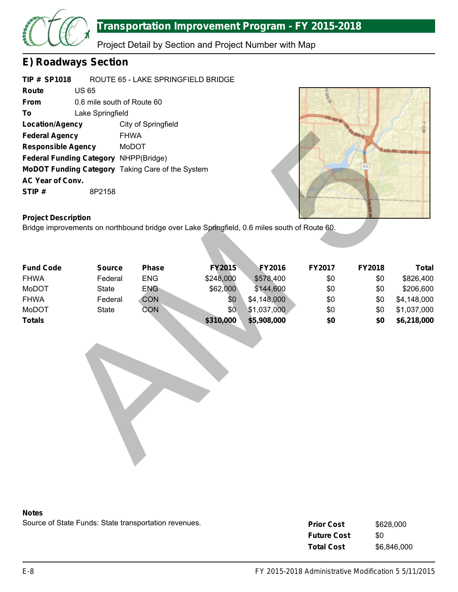

Project Detail by Section and Project Number with Map

### **E) Roadways Section**

| <b>TIP# SP1018</b>                           |                  | ROUTE 65 - LAKE SPRINGFIELD BRIDGE                      |  |  |  |  |  |
|----------------------------------------------|------------------|---------------------------------------------------------|--|--|--|--|--|
| Route                                        | <b>US 65</b>     |                                                         |  |  |  |  |  |
| From                                         |                  | 0.6 mile south of Route 60                              |  |  |  |  |  |
| To                                           | Lake Springfield |                                                         |  |  |  |  |  |
| <b>Location/Agency</b>                       |                  | City of Springfield                                     |  |  |  |  |  |
| <b>Federal Agency</b>                        |                  | <b>FHWA</b>                                             |  |  |  |  |  |
| <b>Responsible Agency</b>                    |                  | MoDOT                                                   |  |  |  |  |  |
| <b>Federal Funding Category NHPP(Bridge)</b> |                  |                                                         |  |  |  |  |  |
|                                              |                  | <b>MoDOT Funding Category</b> Taking Care of the System |  |  |  |  |  |
| <b>AC Year of Conv.</b>                      |                  |                                                         |  |  |  |  |  |
| STIP#                                        | 8P2158           |                                                         |  |  |  |  |  |
|                                              |                  |                                                         |  |  |  |  |  |



### **Project Description**

| <b>Federal Agency</b>                            | <b>FHWA</b>   |            |                                                                                              |               |        |        |               |
|--------------------------------------------------|---------------|------------|----------------------------------------------------------------------------------------------|---------------|--------|--------|---------------|
| <b>Responsible Agency</b>                        |               | MoDOT      |                                                                                              |               |        |        | $60$ US- $60$ |
| Federal Funding Category NHPP(Bridge)            |               |            |                                                                                              |               |        |        |               |
| MoDOT Funding Category Taking Care of the System |               |            |                                                                                              |               |        |        |               |
| AC Year of Conv.                                 |               |            |                                                                                              |               |        |        |               |
| STIP#                                            | 8P2158        |            |                                                                                              |               |        |        |               |
|                                                  |               |            |                                                                                              |               |        |        |               |
|                                                  |               |            |                                                                                              |               |        |        |               |
| <b>Project Description</b>                       |               |            |                                                                                              |               |        |        |               |
|                                                  |               |            | Bridge improvements on northbound bridge over Lake Springfield, 0.6 miles south of Route 60. |               |        |        |               |
|                                                  |               |            |                                                                                              |               |        |        |               |
|                                                  |               |            |                                                                                              |               |        |        |               |
| <b>Fund Code</b>                                 | <b>Source</b> | Phase      | <b>FY2015</b>                                                                                | <b>FY2016</b> | FY2017 | FY2018 | <b>Total</b>  |
| <b>FHWA</b>                                      | Federal       | <b>ENG</b> | \$248,000                                                                                    | \$578,400     | \$0    | \$0    | \$826,400     |
| MoDOT                                            | <b>State</b>  | <b>ENG</b> | \$62,000                                                                                     | \$144,600     | \$0    | \$0    | \$206,600     |
| <b>FHWA</b>                                      | Federal       | <b>CON</b> | \$0                                                                                          | \$4,148,000   | \$0    | \$0    | \$4,148,000   |
| MoDOT                                            | <b>State</b>  | CON        | \$0                                                                                          | \$1,037,000   | \$0    | \$0    | \$1,037,000   |
| <b>Totals</b>                                    |               |            | \$310,000                                                                                    | \$5,908,000   | \$0    | \$0    | \$6,218,000   |
|                                                  |               |            |                                                                                              |               |        |        |               |
|                                                  |               |            |                                                                                              |               |        |        |               |
|                                                  |               |            |                                                                                              |               |        |        |               |
|                                                  |               |            |                                                                                              |               |        |        |               |
|                                                  |               |            |                                                                                              |               |        |        |               |
|                                                  |               |            |                                                                                              |               |        |        |               |
|                                                  |               |            |                                                                                              |               |        |        |               |
|                                                  |               |            |                                                                                              |               |        |        |               |
|                                                  |               |            |                                                                                              |               |        |        |               |
|                                                  |               |            |                                                                                              |               |        |        |               |
|                                                  |               |            |                                                                                              |               |        |        |               |
|                                                  |               |            |                                                                                              |               |        |        |               |
|                                                  |               |            |                                                                                              |               |        |        |               |
|                                                  |               |            |                                                                                              |               |        |        |               |



| <b>Prior Cost</b>  | \$628,000   |
|--------------------|-------------|
| <b>Future Cost</b> | \$0         |
| <b>Total Cost</b>  | \$6,846,000 |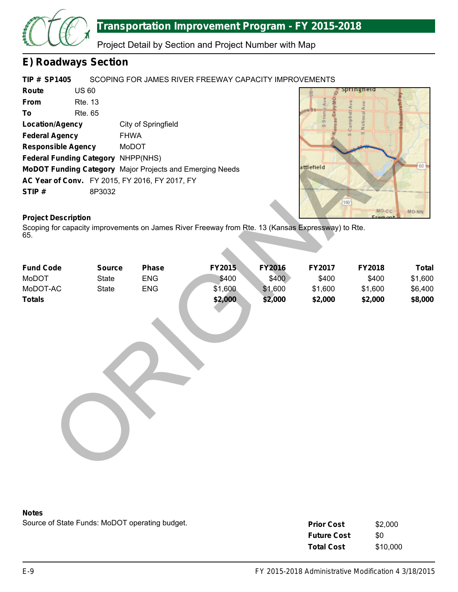

Project Detail by Section and Project Number with Map

### **E) Roadways Section**

#### **TIP # SP1405** SCOPING FOR JAMES RIVER FREEWAY CAPACITY IMPROVEMENTS

| Route                     | US 60                                     |                                                                 |
|---------------------------|-------------------------------------------|-----------------------------------------------------------------|
| <b>From</b>               | <b>Rte. 13</b>                            |                                                                 |
| To                        | Rte. 65                                   |                                                                 |
| <b>Location/Agency</b>    |                                           | City of Springfield                                             |
| <b>Federal Agency</b>     |                                           | <b>FHWA</b>                                                     |
| <b>Responsible Agency</b> |                                           | MoDOT                                                           |
|                           | <b>Federal Funding Category NHPP(NHS)</b> |                                                                 |
|                           |                                           | <b>MoDOT Funding Category</b> Major Projects and Emerging Needs |
|                           |                                           | AC Year of Conv. FY 2015, FY 2016, FY 2017, FY                  |
| STIP#                     | 8P3032                                    |                                                                 |



### **Project Description**

| <b>Location/Agency</b>                                   |               | City of Springfield |                                                                                                   |               |            |              |              |
|----------------------------------------------------------|---------------|---------------------|---------------------------------------------------------------------------------------------------|---------------|------------|--------------|--------------|
| <b>Federal Agency</b>                                    | <b>FHWA</b>   |                     |                                                                                                   |               |            |              |              |
| <b>Responsible Agency</b>                                |               | MoDOT               |                                                                                                   |               |            |              |              |
| Federal Funding Category NHPP(NHS)                       |               |                     |                                                                                                   |               |            |              |              |
| MoDOT Funding Category Major Projects and Emerging Needs |               |                     |                                                                                                   |               | attlefield |              | 60           |
| AC Year of Conv. FY 2015, FY 2016, FY 2017, FY           |               |                     |                                                                                                   |               |            |              |              |
| STIP#                                                    | 8P3032        |                     |                                                                                                   |               |            |              |              |
|                                                          |               |                     |                                                                                                   |               |            | 160<br>MO CC | MO-NN        |
| <b>Project Description</b>                               |               |                     |                                                                                                   |               |            |              |              |
| 65.                                                      |               |                     | Scoping for capacity improvements on James River Freeway from Rte. 13 (Kansas Expressway) to Rte. |               |            |              |              |
|                                                          |               |                     |                                                                                                   |               |            |              |              |
| <b>Fund Code</b>                                         | <b>Source</b> | <b>Phase</b>        | FY2015                                                                                            | <b>FY2016</b> | FY2017     | FY2018       | <b>Total</b> |
| MoDOT                                                    | <b>State</b>  | <b>ENG</b>          | \$400                                                                                             | \$400         | \$400      | \$400        | \$1,600      |
| MoDOT-AC                                                 | <b>State</b>  | <b>ENG</b>          | \$1,600                                                                                           | \$1,600       | \$1,600    | \$1,600      | \$6,400      |
| <b>Totals</b>                                            |               |                     | \$2,000                                                                                           | \$2,000       | \$2,000    | \$2,000      | \$8,000      |
|                                                          |               |                     |                                                                                                   |               |            |              |              |
|                                                          |               |                     |                                                                                                   |               |            |              |              |
|                                                          |               |                     |                                                                                                   |               |            |              |              |
|                                                          |               |                     |                                                                                                   |               |            |              |              |
|                                                          |               |                     |                                                                                                   |               |            |              |              |
|                                                          |               |                     |                                                                                                   |               |            |              |              |
|                                                          |               |                     |                                                                                                   |               |            |              |              |
|                                                          |               |                     |                                                                                                   |               |            |              |              |
|                                                          |               |                     |                                                                                                   |               |            |              |              |
|                                                          |               |                     |                                                                                                   |               |            |              |              |
|                                                          |               |                     |                                                                                                   |               |            |              |              |
|                                                          |               |                     |                                                                                                   |               |            |              |              |
|                                                          |               |                     |                                                                                                   |               |            |              |              |

#### **Notes**

Source of State Funds: MoDOT operating budget.

| <b>Prior Cost</b>  | \$2,000  |
|--------------------|----------|
| <b>Future Cost</b> | \$0      |
| <b>Total Cost</b>  | \$10,000 |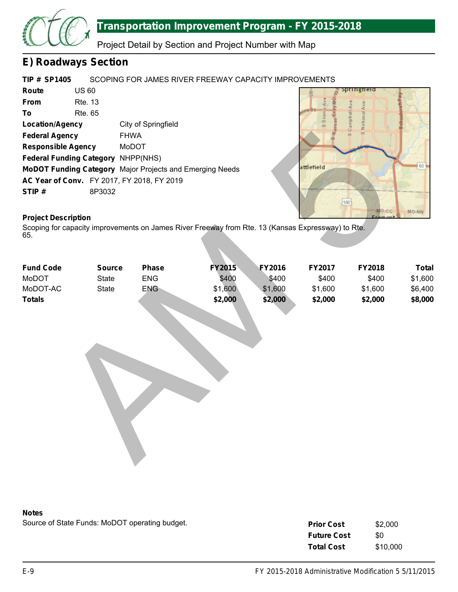

Project Detail by Section and Project Number with Map

### **E) Roadways Section**

#### **TIP # SP1405** SCOPING FOR JAMES RIVER FREEWAY CAPACITY IMPROVEMENTS

| Route                     | US 60                                     |                                                                 |
|---------------------------|-------------------------------------------|-----------------------------------------------------------------|
| <b>From</b>               | <b>Rte. 13</b>                            |                                                                 |
| To                        | Rte. 65                                   |                                                                 |
| <b>Location/Agency</b>    |                                           | City of Springfield                                             |
| <b>Federal Agency</b>     |                                           | <b>FHWA</b>                                                     |
| <b>Responsible Agency</b> |                                           | MoDOT                                                           |
|                           | <b>Federal Funding Category NHPP(NHS)</b> |                                                                 |
|                           |                                           | <b>MoDOT Funding Category</b> Major Projects and Emerging Needs |
|                           |                                           | AC Year of Conv. FY 2017, FY 2018, FY 2019                      |
| STIP#                     | 8P3032                                    |                                                                 |



### **Project Description**

| <b>Federal Agency</b>                                    |               | <b>FHWA</b> |                                                                                                   |               |            |              |              |
|----------------------------------------------------------|---------------|-------------|---------------------------------------------------------------------------------------------------|---------------|------------|--------------|--------------|
| <b>Responsible Agency</b>                                |               | MoDOT       |                                                                                                   |               |            |              |              |
| Federal Funding Category NHPP(NHS)                       |               |             |                                                                                                   |               |            |              |              |
| MoDOT Funding Category Major Projects and Emerging Needs |               |             |                                                                                                   |               | attlefield |              | 60           |
| AC Year of Conv. FY 2017, FY 2018, FY 2019               |               |             |                                                                                                   |               |            |              |              |
| STIP#                                                    | 8P3032        |             |                                                                                                   |               |            |              |              |
|                                                          |               |             |                                                                                                   |               |            | [160]        |              |
|                                                          |               |             |                                                                                                   |               |            | <b>MO CC</b> | $MO-NN$      |
| <b>Project Description</b>                               |               |             |                                                                                                   |               |            |              |              |
| 65.                                                      |               |             | Scoping for capacity improvements on James River Freeway from Rte. 13 (Kansas Expressway) to Rte. |               |            |              |              |
|                                                          |               |             |                                                                                                   |               |            |              |              |
|                                                          |               |             |                                                                                                   |               |            |              |              |
| <b>Fund Code</b>                                         | <b>Source</b> | Phase       | <b>FY2015</b>                                                                                     | <b>FY2016</b> | FY2017     | FY2018       | <b>Total</b> |
| MoDOT                                                    | <b>State</b>  | ENG         | \$400                                                                                             | \$400         | \$400      | \$400        | \$1,600      |
| MoDOT-AC                                                 | <b>State</b>  | <b>ENG</b>  | \$1,600                                                                                           | \$1,600       | \$1,600    | \$1,600      | \$6,400      |
| <b>Totals</b>                                            |               |             | \$2,000                                                                                           | \$2,000       | \$2,000    | \$2,000      | \$8,000      |
|                                                          |               |             |                                                                                                   |               |            |              |              |
|                                                          |               |             |                                                                                                   |               |            |              |              |
|                                                          |               |             |                                                                                                   |               |            |              |              |
|                                                          |               |             |                                                                                                   |               |            |              |              |
|                                                          |               |             |                                                                                                   |               |            |              |              |
|                                                          |               |             |                                                                                                   |               |            |              |              |
|                                                          |               |             |                                                                                                   |               |            |              |              |
|                                                          |               |             |                                                                                                   |               |            |              |              |
|                                                          |               |             |                                                                                                   |               |            |              |              |
|                                                          |               |             |                                                                                                   |               |            |              |              |
|                                                          |               |             |                                                                                                   |               |            |              |              |
|                                                          |               |             |                                                                                                   |               |            |              |              |
|                                                          |               |             |                                                                                                   |               |            |              |              |
|                                                          |               |             |                                                                                                   |               |            |              |              |
|                                                          |               |             |                                                                                                   |               |            |              |              |
|                                                          |               |             |                                                                                                   |               |            |              |              |



Source of State Funds: MoDOT operating budget.

| <b>Prior Cost</b>  | \$2,000  |
|--------------------|----------|
| <b>Future Cost</b> | \$0      |
| <b>Total Cost</b>  | \$10,000 |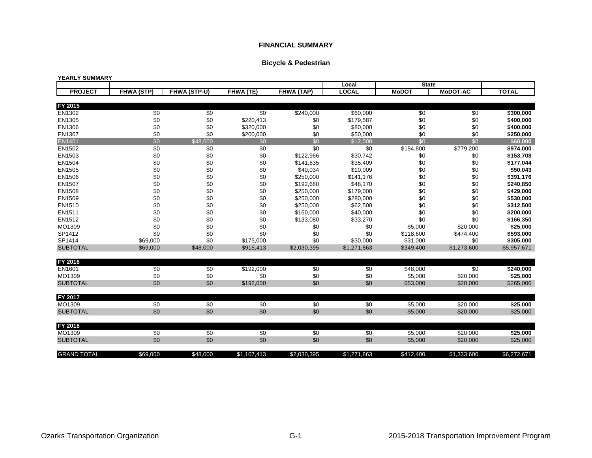#### **Bicycle & Pedestrian**

#### **YEARLY SUMMARY**

|                    |                   |              |             |                   | Local        | <b>State</b>          |                 |              |
|--------------------|-------------------|--------------|-------------|-------------------|--------------|-----------------------|-----------------|--------------|
| <b>PROJECT</b>     | <b>FHWA (STP)</b> | FHWA (STP-U) | FHWA (TE)   | <b>FHWA (TAP)</b> | <b>LOCAL</b> | <b>MoDOT</b>          | <b>MoDOT-AC</b> | <b>TOTAL</b> |
|                    |                   |              |             |                   |              |                       |                 |              |
| FY 2015            |                   |              |             |                   |              |                       |                 |              |
| EN1302             | \$0               | \$0          | \$0         | $\sqrt{$240,000}$ | \$60,000     | \$0                   | \$0             | \$300,000    |
| EN1305             | \$0               | \$0          | \$220,413   | \$0               | \$179,587    | \$0                   | \$0             | \$400,000    |
| EN1306             | \$0               | \$0          | \$320,000   | \$0               | \$80,000     | \$0                   | \$0             | \$400,000    |
| EN1307             | \$0               | \$0          | \$200,000   | \$0               | \$50,000     | \$0                   | \$0             | \$250,000    |
| <b>EN1401</b>      | \$0               | \$48,000     | \$0         | \$0               | \$12,000     | \$0                   | \$0             | \$60,000     |
| EN1502             | \$0               | \$0          | \$0         | \$0               | \$0          | $\overline{$}194,800$ | \$779,200       | \$974,000    |
| EN1503             | \$0               | \$0          | \$0         | \$122,966         | \$30,742     | \$0                   | \$0             | \$153,708    |
| EN1504             | \$0               | \$0          | $\$0$       | \$141,635         | \$35,409     | \$0                   | \$0             | \$177,044    |
| EN1505             | \$0               | \$0          | $\$0$       | \$40,034          | \$10,009     | \$0                   | \$0             | \$50,043     |
| EN1506             | \$0               | \$0          | \$0         | \$250,000         | \$141,176    | \$0                   | \$0             | \$391,176    |
| EN1507             | \$0               | \$0          | \$0         | \$192,680         | \$48,170     | \$0                   | \$0             | \$240,850    |
| EN1508             | \$0               | \$0          | \$0         | \$250,000         | \$179,000    | \$0                   | \$0             | \$429,000    |
| EN1509             | \$0               | \$0          | \$0         | \$250,000         | \$280,000    | \$0                   | \$0             | \$530,000    |
| EN1510             | \$0               | \$0          | \$0         | \$250,000         | \$62,500     | \$0                   | \$0             | \$312,500    |
| EN1511             | \$0               | \$0          | \$0         | \$160,000         | \$40,000     | \$0                   | \$0             | \$200,000    |
| EN1512             | \$0               | \$0          | \$0         | \$133,080         | \$33,270     | \$0                   | \$0             | \$166,350    |
| MO1309             | \$0               | \$0          | \$0         | \$0               | \$0          | \$5,000               | \$20,000        | \$25,000     |
| SP1412             | \$0               | \$0          | \$0         | \$0               | \$0          | \$118,600             | \$474,400       | \$593,000    |
| SP1414             | \$69,000          | \$0          | \$175,000   | \$0               | \$30,000     | \$31,000              | \$0             | \$305,000    |
| <b>SUBTOTAL</b>    | \$69,000          | \$48,000     | \$915,413   | \$2,030,395       | \$1,271,863  | \$349,400             | \$1,273,600     | \$5,957,671  |
|                    |                   |              |             |                   |              |                       |                 |              |
| FY 2016            |                   |              |             |                   |              |                       |                 |              |
| EN1601             | \$0               | \$0          | \$192,000   | \$0               | \$0          | \$48,000              | \$0             | \$240,000    |
| MO1309             | \$0               | \$0          | \$0         | \$0               | \$0          | \$5,000               | \$20,000        | \$25,000     |
| <b>SUBTOTAL</b>    | \$0               | \$0          | \$192,000   | \$0               | \$0          | \$53,000              | \$20,000        | \$265,000    |
|                    |                   |              |             |                   |              |                       |                 |              |
| FY 2017            |                   |              |             |                   |              |                       |                 |              |
| MO1309             | \$0               | \$0          | \$0         | \$0               | \$0          | \$5,000               | \$20,000        | \$25,000     |
| <b>SUBTOTAL</b>    | \$0               | \$0          | \$0         | \$0               | \$0          | \$5,000               | \$20,000        | \$25,000     |
|                    |                   |              |             |                   |              |                       |                 |              |
| FY 2018            |                   |              |             |                   |              |                       |                 |              |
| MO1309             | \$0               | \$0          | \$0         | \$0               | \$0          | \$5,000               | \$20,000        | \$25,000     |
| <b>SUBTOTAL</b>    | \$0               | \$0          | \$0         | \$0               | \$0          | \$5,000               | \$20,000        | \$25,000     |
|                    |                   |              |             |                   |              |                       |                 |              |
| <b>GRAND TOTAL</b> | \$69,000          | \$48,000     | \$1,107,413 | \$2.030.395       | \$1,271,863  | \$412,400             | \$1,333,600     | \$6,272,671  |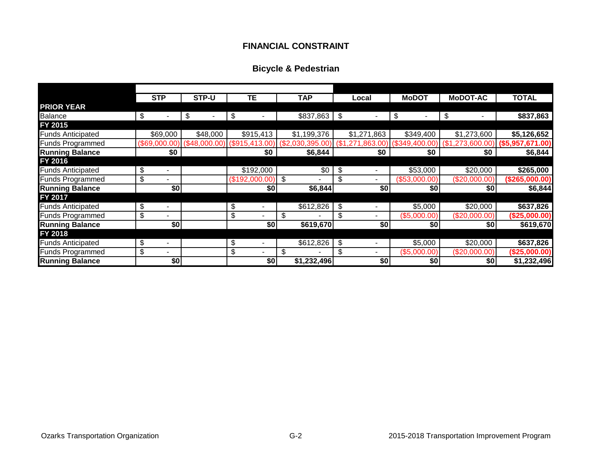### **FINANCIAL CONSTRAINT**

### **Bicycle & Pedestrian**

|                          | <b>STP</b> | STP-U    | TΕ             | TAP         | Local       | <b>MoDOT</b>  | <b>MoDOT-AC</b>                                                                                                                               | <b>TOTAL</b>   |
|--------------------------|------------|----------|----------------|-------------|-------------|---------------|-----------------------------------------------------------------------------------------------------------------------------------------------|----------------|
| <b>PRIOR YEAR</b>        |            |          |                |             |             |               |                                                                                                                                               |                |
| <b>Balance</b>           | \$         | \$       | \$             |             |             | \$            | \$                                                                                                                                            | \$837,863      |
| FY 2015                  |            |          |                |             |             |               |                                                                                                                                               |                |
| <b>Funds Anticipated</b> | \$69,000   | \$48,000 | \$915,413      | \$1,199,376 | \$1,271,863 | \$349,400     | \$1,273,600                                                                                                                                   | \$5,126,652    |
| <b>Funds Programmed</b>  |            |          |                |             |             |               | $(\$69,000.00)$ $(\$48,000.00)$ $(\$915,413.00)$ $(\$2,030,395.00)$ $(\$1,271,863.00)$ $(\$349,400.00)$ $(\$1,273,600.00)$ $(\$5,957,671.00)$ |                |
| <b>Running Balance</b>   | \$0        |          | \$0            | \$6,844     | \$0         | \$0           | \$0                                                                                                                                           | \$6,844        |
| FY 2016                  |            |          |                |             |             |               |                                                                                                                                               |                |
| <b>Funds Anticipated</b> | \$<br>-    |          | \$192,000      | \$0         |             | \$53,000      | \$20,000                                                                                                                                      | \$265,000      |
| <b>Funds Programmed</b>  | \$         |          | (\$192,000.00) | - \$        | \$.         | (\$53,000.00) | (\$20,000.00)                                                                                                                                 | (\$265,000.00) |
| <b>Running Balance</b>   | \$0        |          | \$0            | \$6,844     | \$0         | \$0           | \$0                                                                                                                                           | \$6,844        |
| FY 2017                  |            |          |                |             |             |               |                                                                                                                                               |                |
| <b>Funds Anticipated</b> | \$<br>-    |          | \$             | \$612,826   | \$          | \$5,000       | \$20,000                                                                                                                                      | \$637,826      |
| <b>Funds Programmed</b>  | \$<br>-    |          | \$             | ß.          | \$          | (\$5,000.00)  | (\$20,000.00)                                                                                                                                 | (\$25,000.00)  |
| <b>Running Balance</b>   | \$0        |          | \$0            | \$619,670   | \$0         | \$0           | \$0                                                                                                                                           | \$619,670      |
| FY 2018                  |            |          |                |             |             |               |                                                                                                                                               |                |
| <b>Funds Anticipated</b> | \$         |          | \$             | \$612,826   | \$          | \$5,000       | \$20,000                                                                                                                                      | \$637,826      |
| Funds Programmed         | \$<br>-    |          | \$             |             | \$          | (\$5,000.00)  | (\$20,000.00)                                                                                                                                 | (\$25,000.00)  |
| <b>Running Balance</b>   | \$0        |          | \$0            | \$1,232,496 | \$0         | \$0           | \$0                                                                                                                                           | \$1,232,496    |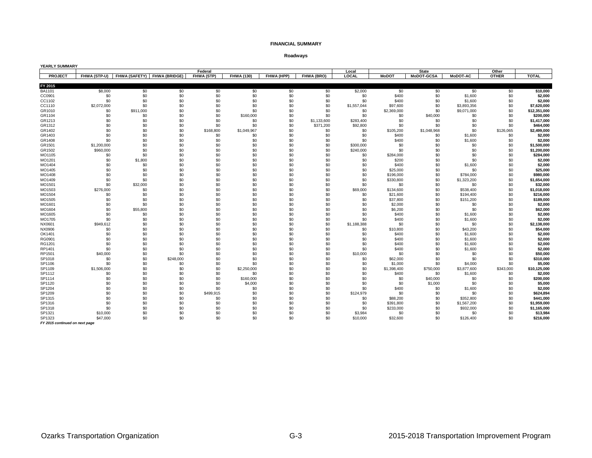**Roadways**

| <b>YEARLY SUMMARY</b>    |                |                                          |            |            |                   |            |             |                |              |                   |                        |              |                     |
|--------------------------|----------------|------------------------------------------|------------|------------|-------------------|------------|-------------|----------------|--------------|-------------------|------------------------|--------------|---------------------|
|                          |                |                                          |            | Federal    |                   |            |             | Local          |              | <b>State</b>      |                        | Other        |                     |
| <b>PROJECT</b>           |                | FHWA (STP-U) FHWA (SAFETY) FHWA (BRIDGE) |            | FHWA (STP) | <b>FHWA (130)</b> | FHWA (HPP) | FHWA (BRO)  | LOCAL          | <b>MoDOT</b> | <b>MoDOT-GCSA</b> | <b>MoDOT AC</b>        | <b>OTHER</b> | <b>TOTAL</b>        |
|                          |                |                                          |            |            |                   |            |             |                |              |                   |                        |              |                     |
| FY 2015<br><b>BA1101</b> |                | \$0                                      |            | \$0        | \$0               |            | \$0         |                | \$0          |                   | \$0                    | \$0          |                     |
|                          | \$8,000<br>\$0 | \$0                                      | \$0<br>\$0 |            | \$0               | \$0<br>\$0 | \$0         | \$2,000<br>\$0 | \$400        | \$0<br>\$0        | \$1,600                | \$0          | \$10,000<br>\$2,000 |
| CC0901<br>CC1102         | \$0            | \$0                                      | \$0        | \$0<br>\$0 | \$0               | \$0        | \$0         | \$0            | \$400        | \$0               |                        | \$0          | \$2,000             |
| CC1110                   | \$2,072,000    | \$0                                      | \$0        | \$0        | \$0               | \$0        | \$0         | \$1,557,044    | \$97,600     | \$0               | \$1,600<br>\$3,893,356 | \$0          | \$7,620,000         |
| GR1010                   | \$0            | \$911,000                                | \$0        | \$0        | \$0               | \$0        | \$0         | \$0            | \$2,369,000  | \$0               | \$9,071,000            | \$0          | \$12,351,000        |
| GR1104                   | \$0            | \$0                                      | \$0        | \$0        | \$160,000         | \$0        | \$0         | \$0            | \$0          | \$40,000          | \$0                    | \$0          | \$200,000           |
| GR1213                   | \$0            | \$0                                      | \$0        | \$0        | \$0               | \$0        | \$1,133,600 | \$283,400      | \$0          | \$0               | \$0                    | \$0          | \$1,417,000         |
| GR1312                   | \$0            | \$0                                      | \$0        | \$0        | \$0               | \$0        | \$371,200   | \$92,800       | \$0          | \$0               | \$0                    | \$0          | \$464,000           |
| GR1402                   | \$0            | \$0                                      | \$0        | \$168,800  | \$1,049,967       | \$0        | \$0         | \$0            | \$105,200    | \$1,048,968       | \$0                    | \$126,065    | \$2,499,000         |
| GR1403                   | \$0            | \$0                                      | \$0        | \$0        | \$0               | \$0        | \$0         | \$0            | \$400        | \$0               | \$1,600                | \$0          | \$2,000             |
| GR1408                   | \$0            | \$0                                      | \$0        | \$0        | \$0               | \$0        | \$0         | \$0            | \$400        | \$0               | \$1,600                | \$0          | \$2,000             |
| GR1501                   | \$1,200,000    | \$0                                      | \$0        | \$0        | \$0               | \$0        | \$0         | \$300,000      | \$0          | \$0               | \$0                    | \$0          | \$1,500,000         |
| GR1502                   | \$960,000      | \$0                                      | \$0        | \$0        | \$0               | \$0        | \$0         | \$240,000      | \$0          | \$0               | \$0                    | \$0          | \$1,200,000         |
| MO1105                   | \$0            | \$0                                      | \$0        | \$0        | \$0               | \$0        | \$0         | \$0            | \$284,000    | \$0               | \$0                    | \$0          | \$284,000           |
| MO1201                   | \$0            | \$1,800                                  | \$0        | \$0        | \$0               | \$0        | \$0         | \$0            | \$200        | \$0               | \$0                    | \$0          | \$2,000             |
| MO1404                   | \$0            | \$0                                      | \$0        | \$0        | \$0               | \$0        | \$0         | \$0            | \$400        | \$0               | \$1,600                | \$0          | \$2,000             |
| MO1405                   | \$0            | \$0                                      | \$0        | \$0        | \$0               | \$0        | \$0         | \$0            | \$25,000     | \$0               | \$0                    | \$0          | \$25,000            |
| MO1408                   | \$0            | \$0                                      | \$0        | \$0        | \$0               | \$0        | \$0         | \$0            | \$196,000    | \$0               | \$784.000              | \$0          | \$980.000           |
| MO1409                   | \$0            | \$0                                      | \$0        | \$0        | \$0               | \$0        | \$0         | \$0            | \$330,800    | \$0               | \$1,323,200            | \$0          | \$1,654,000         |
| MO1501                   | \$0            | \$32,000                                 | \$0        | \$0        | \$0               | \$0        | \$0         | \$0            | \$0          | \$0               | \$0                    | \$0          | \$32,000            |
| MO1503                   | \$276,000      | \$0                                      | \$0        | \$0        | \$0               | \$0        | \$0         | \$69,000       | \$134,600    | \$0               | \$538,400              | \$0          | \$1,018,000         |
| MO1504                   | \$0            | \$0                                      | \$0        | \$0        | \$0               | \$0        | \$0         | \$0            | \$21,600     | \$0               | \$194,400              | \$0          | \$216,000           |
| MO1505                   | \$0            | \$0                                      | \$0        | \$0        | \$0               | \$0        | \$0         | \$0            | \$37,800     | \$0               | \$151,200              | \$0          | \$189,000           |
| MO1601                   | \$0            | \$0                                      | \$0        | \$0        | \$0               | \$0        | \$0         | \$0            | \$2,000      | \$0               | \$0                    | \$0          | \$2,000             |
| MO1604                   | \$0            | \$55,800                                 | \$0        | \$0        | \$0               | \$0        | \$0         | \$0            | \$6,200      | \$0               | \$0                    | \$0          | \$62,000            |
| MO1605                   | \$0            | \$0                                      | \$0        | \$0        | \$0               | \$0        | \$0         | \$0            | \$400        | \$0               | \$1,600                | \$0          | \$2,000             |
| MO1705                   | \$0            | \$0                                      | \$0        | \$0        | \$0               | \$0        | \$0         | \$0            | \$400        | \$0               | \$1,600                | \$0          | \$2,000             |
| NX0601                   | \$949.612      | \$0                                      | \$0        | \$0        | \$0               | \$0        | \$0         | \$1,188,388    | \$0          | \$0               | \$0                    | \$0          | \$2,138,000         |
| NX0906                   | \$0            | \$0                                      | \$0        | \$0        | \$0               | \$0        | \$0         | \$0            | \$10,800     | \$0               | \$43,200               | \$0          | \$54,000            |
| OK1401                   | \$0            | \$0                                      | \$0        | \$0        | \$0               | \$0        | \$0         | \$0            | \$400        | \$0               | \$1,600                | \$0          | \$2,000             |
| RG0901                   | \$0            | \$0                                      | \$0        | \$0        | \$0               | \$0        | \$0         | \$0            | \$400        | \$0               | \$1,600                | \$0          | \$2,000             |
| RG1201                   | \$0            | \$0                                      | \$0        | \$0        | \$0               | \$0        | \$0         | \$0            | \$400        | \$0               | \$1,600                | \$0          | \$2,000             |
| RP1401                   | \$0            | \$0                                      | \$0        | \$0        | \$0               | \$0        | \$0         | \$0            | \$400        | \$0               | \$1,600                | \$0          | \$2,000             |
| RP1501                   | \$40,000       | \$0                                      | \$0        | \$0        | \$0               | \$0        | \$0         | \$10,000       | \$0          | \$0               | \$0                    | \$0          | \$50,000            |
| SP1018                   | \$0            | \$0                                      | \$248,000  | \$0        | \$0               | \$0        | \$0         | \$0            | \$62,000     | \$0               | \$0                    | \$0          | \$310,000           |
| SP1106                   | \$0            | \$0                                      | \$0        | \$0        | \$0               | \$0        | \$0         | \$0            | \$1,000      | \$0               | \$4,000                | \$0          | \$5.000             |
| SP1109                   | \$1,506,000    | \$0                                      | \$0        | \$0        | \$2,250,000       | \$0        | \$0         | \$0            | \$1,398,400  | \$750,000         | \$3,877,600            | \$343,000    | \$10,125,000        |
| SP1112                   | \$0            | \$0                                      | \$0        | \$0        | \$0               | \$0        | \$0         | \$0            | \$400        | \$0               | \$1,600                | \$0          | \$2,000             |
| SP1114                   | \$0            | \$0                                      | \$0        | \$0        | \$160,000         | \$0        | \$0         | \$0            | \$0          | \$40,000          | \$0                    | \$0          | \$200,000           |
| SP1120                   | \$0            | \$0                                      | \$0        | \$0        | \$4,000           | \$0        | \$0         | \$0            | \$0          | \$1,000           | \$0                    | \$0          | \$5,000             |
| SP1204                   | \$0            | \$0                                      | \$0        | \$0        | \$0               | \$0        | \$0         | \$0            | \$400        | \$0               | \$1,600                | \$0          | \$2,000             |
| SP1209                   | \$0            | \$0                                      | \$0        | \$499,915  | \$0               | \$0        | \$0         | \$124,979      | \$0          | \$0               | \$0                    | \$0          | \$624,894           |
| SP1315                   | \$0            | \$0                                      | \$0        | \$0        | \$0               | \$0        | \$0         | \$0            | \$88,200     | \$0               | \$352,800              | \$0          | \$441,000           |
| SP1316                   | \$0            | \$0                                      | \$0        | \$0        | \$0               | \$0        | \$0         | \$0            | \$391,800    | \$0               | \$1,567,200            | \$0          | \$1,959,000         |
| SP1318                   | \$0            | \$0                                      | \$0        | \$0        | \$0               | \$0        | \$0         | \$0            | \$233,000    | \$0               | \$932,000              | \$0          | \$1,165,000         |
| SP1321                   | \$10,000       | \$0                                      | \$0        | \$0        | \$0               | \$0        | \$0         | \$3,984        | \$0          | \$0               | \$0                    | \$0          | \$13,984            |
| SP1323                   | \$47,000       | \$0                                      | \$0        | \$0        | \$0               | \$0        | \$0         | \$10,000       | \$32,600     | \$0               | \$126,400              | \$0          | \$216,000           |

*FY 2015 continued on next page*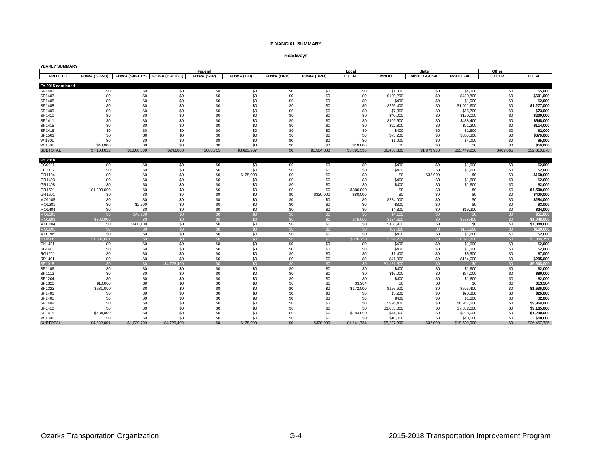#### **Roadways**

| YEARLY SUMMARY    |             |             |                                          |                   |                   |            |             |             |              |              |                 |              |              |
|-------------------|-------------|-------------|------------------------------------------|-------------------|-------------------|------------|-------------|-------------|--------------|--------------|-----------------|--------------|--------------|
|                   |             |             |                                          | Federal           |                   |            |             | Local       |              | <b>State</b> |                 | Other        |              |
| <b>PROJECT</b>    |             |             | FHWA (STP-U) FHWA (SAFETY) FHWA (BRIDGE) | <b>FHWA (STP)</b> | <b>FHWA (130)</b> | FHWA (HPP) | FHWA (BRO)  | LOCAL       | <b>MoDOT</b> | MoDOT-GCSA   | <b>MoDOT-AC</b> | <b>OTHER</b> | <b>TOTAL</b> |
|                   |             |             |                                          |                   |                   |            |             |             |              |              |                 |              |              |
| FY 2015 continued |             |             |                                          |                   |                   |            |             |             |              |              |                 |              |              |
| SP1401            | \$0         | \$0         | \$0                                      | \$0               | \$0               | \$0        | \$0         | \$0         | \$1,000      | \$0          | \$4,000         | \$0          | \$5,000      |
| SP1403            | \$0         | \$0         | \$0                                      | \$0               | \$0               | \$0        | \$0         | \$0         | \$120,200    | \$0          | \$480,800       | \$0          | \$601,000    |
| SP1405            | \$0         | \$0         | \$0                                      | \$0               | \$0               | \$0        | \$0         | \$0         | \$400        | \$0          | \$1,600         | \$0          | \$2,000      |
| SP1408            | \$0         | \$0         | \$0                                      | \$0               | \$0               | \$0        | \$0         | \$0         | \$255,400    | \$0          | \$1,021,600     | \$0          | \$1,277,000  |
| SP1409            | \$0         | \$0         | \$0                                      | \$0               | \$0               | \$0        | \$0         | \$0         | \$7,300      | \$0          | \$65,700        | \$0          | \$73,000     |
| SP1410            | \$0         | \$0         | \$0                                      | \$0               | \$0               | \$0        | \$0         | \$0         | \$40,000     | \$0          | \$160,000       | \$0          | \$200,000    |
| SP1411            | \$0         | \$0         | \$0                                      | \$0               | \$0               | \$0        | \$0         | \$0         | \$109,600    | \$0          | \$438,400       | \$0          | \$548,000    |
| SP1415            | \$0         | \$0         | \$0                                      | \$0               | \$0               | \$0        | \$0         | \$0         | \$22,800     | \$0          | \$91,200        | \$0          | \$114,000    |
| SP1416            | \$0         | \$0         | \$0                                      | \$0               | \$0               | \$0        | \$0         | \$0         | \$400        | \$0          | \$1,600         | \$0          | \$2,000      |
| SP1501            | \$0         | \$0         | \$0                                      | \$0               | \$0               | \$0        | \$0         | \$0         | \$75,200     | \$0          | \$300,800       | \$0          | \$376,000    |
| WI1301            | \$0         | \$0         | \$0                                      | \$0               | \$0               | \$0        | \$0         | \$0         | \$1,000      | \$0          | \$4,000         | \$0          | \$5,000      |
| WI1501            | \$40,000    | \$0         | \$0                                      | \$0               | \$0               | \$0        | \$0         | \$10,000    | \$0          | \$0          | \$0             | \$0          | \$50,000     |
| <b>SUBTOTAL</b>   | \$7,108,612 | \$1,000,600 | \$248,000                                | \$668,715         | \$3,623,967       | \$0        | \$1,504,800 | \$3,891,595 | \$6,466,300  | \$1,879,968  | \$25,449,256    | \$469,065    | \$52,310,878 |
|                   |             |             |                                          |                   |                   |            |             |             |              |              |                 |              |              |
| FY 2016           |             |             |                                          |                   |                   |            |             |             |              |              |                 |              |              |
| CC0901            | \$0         | \$0         | \$0                                      | \$0               | \$0               | \$0        | \$0         | \$0         | \$400        | \$0          | \$1,600         | \$0          | \$2,000      |
| CC1102            | \$0         | \$0         | \$0                                      | \$0               | \$0               | \$0        | \$0         | \$0         | \$400        | \$0          | \$1,600         | \$0          | \$2,000      |
| GR1104            | \$0         | \$0         | \$0                                      | \$0               | \$128,000         | \$0        | \$0         | \$0         | \$0          | \$32,000     | \$0             | \$0          | \$160,000    |
| GR1403            | \$0         | \$0         | \$0                                      | \$0               | \$0               | \$0        | \$0         | \$0         | \$400        | \$0          | \$1,600         | \$0          | \$2,000      |
| GR1408            | \$0         | \$0         | \$0                                      | \$0               | \$0               | \$0        | \$0         | \$0         | \$400        | \$0          | \$1,600         | \$0          | \$2,000      |
| GR1501            | \$1,200,000 | \$0         | \$0                                      | \$0               | \$0               | \$0        | \$0         | \$300,000   | \$0          | \$0          | \$0             | \$0          | \$1,500,000  |
| GR1601            | \$0         | \$0         | \$0                                      | \$0               | \$0               | \$0        | \$320,000   | \$80,000    | \$0          | \$0          | \$0             | \$0          | \$400,000    |
| MO1105            | \$0         | \$0         | \$0                                      | \$0               | \$0               | \$0        | \$0         | \$0         | \$284,000    | \$0          | \$0             | \$0          | \$284,000    |
| MO1201            | \$0         | \$2,700     | \$0                                      | \$0               | \$0               | \$0        | \$0         | \$0         | \$300        | \$0          | \$0             | \$0          | \$3,000      |
| MO1404            | \$0         | \$0         | \$0                                      | \$0               | \$0               | \$0        | \$0         | \$0         | \$4,800      | \$0          | \$19,200        | \$0          | \$24,000     |
| MO1601            | \$0         | \$46,900    | \$0                                      | \$0               | \$0               | \$0        | \$0         | \$0         | \$4,100      | \$0          | \$0             | \$0          | \$51,000     |
| MO1603            | \$300,000   | \$0         | \$0                                      | \$0               | \$0               | \$0        | \$0         | \$75,000    | \$134,600    | \$0          | \$538,400       | \$0          | \$1.048.000  |
| MO1604            | \$0         | \$980,100   | \$0                                      | \$0               | \$0               | \$0        | \$0         | \$0         | \$108,900    | \$0          | \$0             | \$0          | \$1,089,000  |
| MO1605            | \$0         | \$0         | \$0                                      | \$0               | \$0               | \$0        | \$0         | \$0         | \$37,800     | \$0          | 5151,200        | \$0          | \$189,000    |
| MO1705            | \$0         | \$0         | \$0                                      | \$0               | \$0               | \$0        | \$0         | \$0         | \$400        | \$0          | \$1,600         | \$0          | \$2,000      |
| NX0906            | \$1,307,001 | \$0         | \$0                                      | \$0               | \$0               | \$0        | \$0         | \$326,750   | \$344,200    | \$0          | \$1,376,800     | \$0          | \$3,354,751  |
| OK1401            | \$0         | \$0         | \$0                                      | \$0               | \$0               | \$0        | \$0         | \$0         | \$400        | \$0          | \$1,600         | \$0          | \$2,000      |
| RG0901            | \$0         | \$0         | \$0                                      | \$0               | \$0               | \$0        | \$0         | \$0         | \$400        | \$0          | \$1,600         | \$0          | \$2,000      |
| RG1201            | \$0         | \$0         | \$0                                      | \$0               | \$0               | \$0        | \$0         | \$0         | \$1,400      | \$0          | \$5,600         | \$0          | \$7,000      |
| RP1401            | \$0         | \$0         | \$0                                      | \$0               | \$0               | \$0        | \$0         | \$0         | \$41,000     | \$0          | \$164,000       | \$0          | \$205,000    |
| SP1018            | \$0         | \$0         | \$4,726,400                              | \$0               | \$0               | \$0        | \$0         | \$0         | \$1,181,600  | \$0          | \$0             | \$0          | \$5,908,000  |
| SP1106            | \$0         | \$0         | \$0                                      | \$0               | \$0               | \$0        | \$0         | \$0         | \$400        | \$0          | \$1,600         | \$0          | \$2,000      |
| SP1112            | \$0         | \$0         | \$0                                      | \$0               | \$0               | \$0        | \$0         | \$0         | \$16,000     | \$0          | \$64,000        | \$0          | \$80,000     |
| SP1204            | \$0         | \$0         | \$0                                      | \$0               | \$0               | \$0        | \$0         | \$0         | \$400        | \$0          | \$1,600         | \$0          | \$2,000      |
| SP1321            | \$10,000    | \$0         | \$0                                      | \$0               | \$0               | \$0        | \$0         | \$3,984     | \$0          | \$0          | \$0             | \$0          | \$13,984     |
| SP1323            | \$681,000   | \$0         | \$0                                      | \$0               | \$0               | \$0        | \$0         | \$172,000   | \$156,600    | \$0          | \$626,400       | \$0          | \$1,636,000  |
| SP1401            | \$0         | \$0         | \$0                                      | \$0               | \$0               | \$0        | \$0         | \$0         | \$5,200      | \$0          | \$20,800        | \$0          | \$26,000     |
| SP1405            | \$0         | \$0         | \$0                                      | \$0               | \$0               | \$0        | \$0         | \$0         | \$400        | \$0          | \$1,600         | \$0          | \$2,000      |
| SP1409            | \$0         | \$0         | \$0                                      | \$0               | \$0               | \$0        | \$0         | \$0         | \$996,400    | \$0          | \$8,967,600     | \$0          | \$9,964,000  |
| SP1410            | \$0         | \$0         | \$0                                      | \$0               | \$0               | \$0        | \$0         | \$0         | \$1,833,000  | \$0          | \$7,332,000     | \$0          | \$9,165,000  |
| SP1415            | \$734,000   | \$0         | \$0                                      | \$0               | \$0               | \$0        | \$0         | \$184,000   | \$74,000     | \$0          | \$298,000       | \$0          | \$1,290,000  |
| WI1301            | \$0         | \$0         | \$0                                      | \$0               | \$0               | \$0        | \$0         | \$0         | \$10,000     | \$0          | \$40,000        | \$0          | \$50,000     |
| <b>SUBTOTAL</b>   | \$4,232,001 | \$1,029,700 | \$4,726,400                              | \$0               | \$128,000         | \$0        | \$320,000   | \$1,141,734 | \$5,237,900  | \$32,000     | \$19,620,000    | \$0          | \$36,467,735 |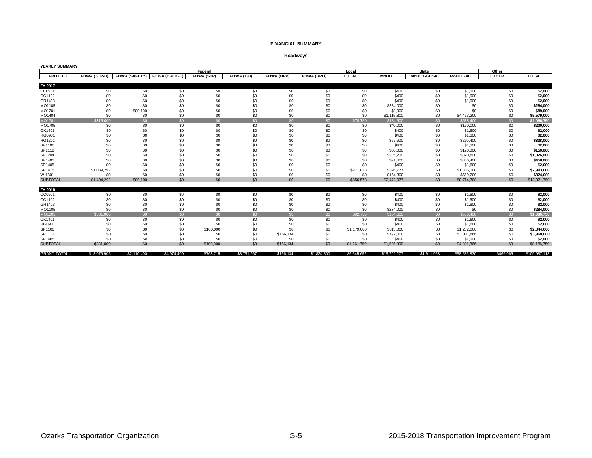#### **Roadways**

| <b>YEARLY SUMMARY</b> |              |             |                             |            |                   |                |             |             |              |                   |                 |              |               |
|-----------------------|--------------|-------------|-----------------------------|------------|-------------------|----------------|-------------|-------------|--------------|-------------------|-----------------|--------------|---------------|
|                       |              |             |                             | Federal    |                   |                |             | Local       |              | <b>State</b>      |                 | Other        |               |
| PROJECT               | FHWA (STP-U) |             | FHWA (SAFETY) FHWA (BRIDGE) | FHWA (STP) | <b>FHWA (130)</b> | FHWA (HPP)     | FHWA (BRO)  | LOCAL       | <b>MoDOT</b> | <b>MoDOT-GCSA</b> | <b>MoDOT-AC</b> | <b>OTHER</b> | <b>TOTAL</b>  |
|                       |              |             |                             |            |                   |                |             |             |              |                   |                 |              |               |
| FY 2017               |              |             |                             |            |                   |                |             |             |              |                   |                 |              |               |
| CC0901                | \$0          | \$0         | \$0                         | \$0        | \$0               | \$0            | \$0         | \$0         | \$400        | \$0               | \$1,600         | \$0          | \$2,000       |
| CC1102                | \$0          | \$0         | \$0                         | \$0        | \$0               | \$0            | \$0         | \$0         | \$400        | \$0               | \$1,600         | \$0          | \$2,000       |
| GR1403                | \$0          | \$0         | \$0                         | \$0        | \$0               | \$0            | \$0         | \$0         | \$400        | \$0               | \$1,600         | \$0          | \$2,000       |
| MO1105                | \$0          | \$0         | \$0                         | \$0        | \$0               | \$0            | \$0         | \$0         | \$284,000    | \$0               | \$0             | \$0          | \$284,000     |
| MO1201                | \$0          | \$80,100    | \$0                         | \$0        | \$0               | \$0            | \$0         | \$0         | \$8,900      | \$0               | \$0             | \$0          | \$89,000      |
| MO1404                | \$0          | \$0         | \$0                         | \$0        | \$0               | \$0            | \$0         | \$0         | \$1,115,800  | \$0               | \$4,463,200     | \$0          | \$5,579,000   |
| MO1701                | \$315,000    | \$0         | \$0                         | \$0        | \$0               | \$0            | \$0         | \$78,750    | \$134,600    | \$0               | \$538,400       | \$0          | \$1.066.750   |
| MO1705                | \$0          | \$0         | \$0                         | \$0        | \$0               | \$0            | \$0         | \$0         | \$40,000     | \$0               | \$160,000       | \$0          | \$200,000     |
| OK1401                | \$0          | \$0         | \$0                         | \$0        | \$0               | \$0            | \$0         | \$0         | \$400        | \$0               | \$1,600         | \$0          | \$2,000       |
| RG0901                | \$0          | \$0         | \$0                         | \$0        | \$0               | \$0            | \$0         | \$0         | \$400        | \$0               | \$1,600         | \$0          | \$2,000       |
| RG1201                | \$0          | \$C         | \$0                         | \$0        | \$0               | \$0            | \$0         | \$0         | \$67,600     | \$0               | \$270,400       | \$0          | \$338,000     |
| SP1106                | \$0          | \$C         | \$0                         | \$0        | \$0               | \$0            | \$0         | \$0         | \$400        | \$0               | \$1,600         | \$0          | \$2,000       |
| SP1112                | \$0          | \$C         | \$0                         | \$0        | \$0               | \$0            | \$0         | \$0         | \$30,000     | \$0               | \$120,000       | \$0          | \$150,000     |
| SP1204                | \$0          | \$0         | \$0                         | \$0        | \$0               | \$0            | \$0         | \$0         | \$205,200    | \$0               | \$820,800       | \$0          | \$1,026,000   |
| SP1401                | \$0          | \$0         | \$0                         | \$0        | \$0               | \$0            | \$0         | \$0         | \$91,600     | \$0               | \$366,400       | \$0          | \$458,000     |
| SP1405                | \$0          | \$0         | \$0                         | \$0        | \$0               | \$0            | \$0         | \$0         | \$400        | \$0               | \$1,600         | \$0          | \$2,000       |
| SP1415                | \$1,089,292  | \$0         | \$0                         | \$0        | \$0               | \$0            | \$0         | \$271,823   | \$326,777    | \$0               | \$1,305,108     | \$0          | \$2,993,000   |
| WI1301                | \$0          | \$0         | \$0                         | \$0        | \$0               | \$0            | \$0         | \$0         | \$164,800    | \$0               | \$659,200       | \$0          | \$824,000     |
| <b>SUBTOTAL</b>       | \$1,404,292  | \$80,100    | \$0                         | \$0        | \$0               | \$0            | \$0         | \$350,573   | \$2,472,077  | \$0               | \$8,714,708     | \$0          | \$13,021,750  |
|                       |              |             |                             |            |                   |                |             |             |              |                   |                 |              |               |
| FY 2018               |              |             |                             |            |                   |                |             |             |              |                   |                 |              |               |
| CC0901                | \$0          | \$0         | \$0                         | \$0        | \$0               | \$0            | \$0         | \$0         | \$400        | \$0               | \$1,600         | \$0          | \$2,000       |
| CC1102                | \$0          | \$0         | \$0                         | \$0        | \$0               | \$0            | \$0         | \$0         | \$400        | \$0               | \$1,600         | \$0          | \$2,000       |
| GR1403                | \$0          | \$0         | \$0                         | \$0        | \$0               | \$0            | \$0         | \$0         | \$400        | \$0               | \$1,600         | \$0          | \$2,000       |
| MO1105                | \$0          | \$0         | \$0                         | \$0        | \$0               | \$0            | \$0         | \$0         | \$284,000    | \$0               | \$0             | \$0          | \$284,000     |
| MO1801                | \$331.000    | \$0         | \$0                         | \$0        | \$0               | S <sub>0</sub> | \$0         | \$82,750    | \$134,600    | \$0               | \$538,400       | \$0          | \$1.086.750   |
| OK1401                | \$0          | \$0         | \$0                         | \$0        | \$0               | \$0            | \$0         | \$0         | \$400        | \$0               | \$1,600         | \$0          | \$2,000       |
| RG0901                | \$0          | \$0         | \$0                         | \$0        | \$0               | \$0            | \$0         | \$0         | \$400        | \$0               | \$1,600         | \$0          | \$2,000       |
| SP1106                | \$0          | \$0         | \$0                         | \$100,000  | \$0               | \$0            | \$0         | \$1,179,000 | \$313,000    | \$0               | \$1,252,000     | \$0          | \$2,844,000   |
| SP1112                | \$0          | \$0         | \$0                         | \$0        | \$0               | \$166,134      | \$0         | \$0         | \$792,000    | \$0               | \$3,001,866     | \$0          | \$3,960,000   |
| SP1405                | \$0          | \$0         | \$0                         | \$0        | \$0               | \$0            | \$0         | \$0         | \$400        | \$0               | \$1,600         | \$0          | \$2,000       |
| <b>SUBTOTAL</b>       | \$331,000    | \$0         | \$0                         | \$100,000  | \$0               | \$166,134      | \$0         | \$1,261,750 | \$1,526,000  | \$0               | \$4,801,866     | \$0          | \$8,186,750   |
| <b>GRAND TOTAL</b>    | \$13,075,905 | \$2,110,400 | \$4,974,400                 | \$768,715  | \$3,751,967       | \$166,134      | \$1,824,800 | \$6,645,652 | \$15,702,277 | \$1,911,968       | \$58,585,830    | \$469.065    | \$109,987,113 |